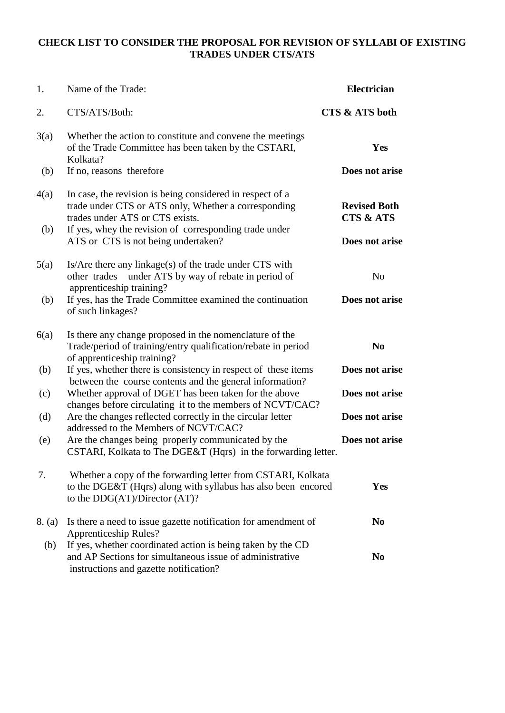#### **CHECK LIST TO CONSIDER THE PROPOSAL FOR REVISION OF SYLLABI OF EXISTING TRADES UNDER CTS/ATS**

| 1.     | Name of the Trade:                                                                                                                                                | <b>Electrician</b>                          |
|--------|-------------------------------------------------------------------------------------------------------------------------------------------------------------------|---------------------------------------------|
| 2.     | CTS/ATS/Both:                                                                                                                                                     | CTS & ATS both                              |
| 3(a)   | Whether the action to constitute and convene the meetings<br>of the Trade Committee has been taken by the CSTARI,<br>Kolkata?                                     | Yes                                         |
| (b)    | If no, reasons therefore                                                                                                                                          | Does not arise                              |
| 4(a)   | In case, the revision is being considered in respect of a<br>trade under CTS or ATS only, Whether a corresponding<br>trades under ATS or CTS exists.              | <b>Revised Both</b><br><b>CTS &amp; ATS</b> |
| (b)    | If yes, whey the revision of corresponding trade under<br>ATS or CTS is not being undertaken?                                                                     | Does not arise                              |
| 5(a)   | Is/Are there any linkage(s) of the trade under CTS with<br>other trades<br>under ATS by way of rebate in period of<br>apprenticeship training?                    | N <sub>o</sub>                              |
| (b)    | If yes, has the Trade Committee examined the continuation<br>of such linkages?                                                                                    | Does not arise                              |
| 6(a)   | Is there any change proposed in the nomenclature of the<br>Trade/period of training/entry qualification/rebate in period<br>of apprenticeship training?           | N <sub>0</sub>                              |
| (b)    | If yes, whether there is consistency in respect of these items<br>between the course contents and the general information?                                        | Does not arise                              |
| (c)    | Whether approval of DGET has been taken for the above<br>changes before circulating it to the members of NCVT/CAC?                                                | Does not arise                              |
| (d)    | Are the changes reflected correctly in the circular letter<br>addressed to the Members of NCVT/CAC?                                                               | Does not arise                              |
| (e)    | Are the changes being properly communicated by the<br>CSTARI, Kolkata to The DGE&T (Hqrs) in the forwarding letter.                                               | Does not arise                              |
| 7.     | Whether a copy of the forwarding letter from CSTARI, Kolkata<br>to the DGE&T (Hqrs) along with syllabus has also been encored<br>to the DDG(AT)/Director (AT)?    | <b>Yes</b>                                  |
| 8. (a) | Is there a need to issue gazette notification for amendment of<br><b>Apprenticeship Rules?</b>                                                                    | N <sub>0</sub>                              |
| (b)    | If yes, whether coordinated action is being taken by the CD<br>and AP Sections for simultaneous issue of administrative<br>instructions and gazette notification? | N <sub>0</sub>                              |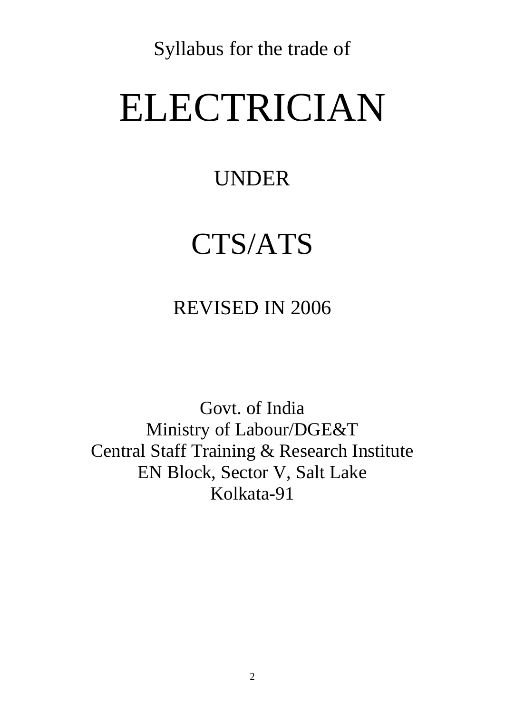Syllabus for the trade of

# ELECTRICIAN

## UNDER

## CTS/ATS

## REVISED IN 2006

Govt. of India Ministry of Labour/DGE&T Central Staff Training & Research Institute EN Block, Sector V, Salt Lake Kolkata-91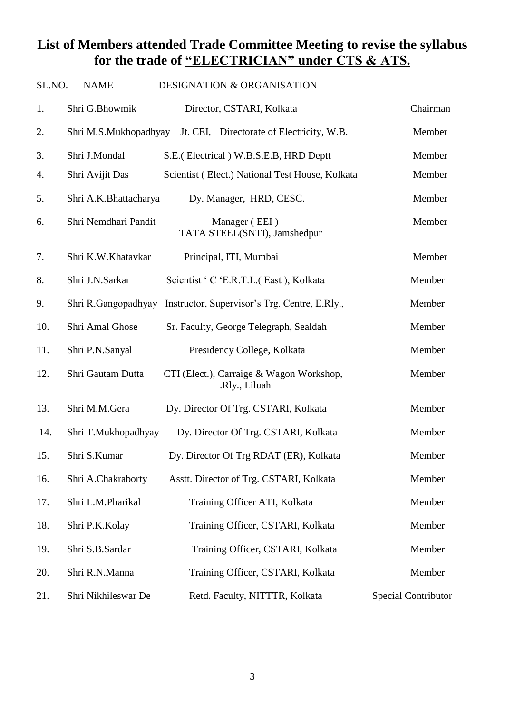#### **List of Members attended Trade Committee Meeting to revise the syllabus for the trade of "ELECTRICIAN" under CTS & ATS.**

| SL.NO. | <b>NAME</b>           | <b>DESIGNATION &amp; ORGANISATION</b>                     |                            |
|--------|-----------------------|-----------------------------------------------------------|----------------------------|
| 1.     | Shri G.Bhowmik        | Director, CSTARI, Kolkata                                 | Chairman                   |
| 2.     | Shri M.S.Mukhopadhyay | Jt. CEI, Directorate of Electricity, W.B.                 | Member                     |
| 3.     | Shri J.Mondal         | S.E. (Electrical) W.B.S.E.B, HRD Deptt                    | Member                     |
| 4.     | Shri Avijit Das       | Scientist (Elect.) National Test House, Kolkata           | Member                     |
| 5.     | Shri A.K.Bhattacharya | Dy. Manager, HRD, CESC.                                   | Member                     |
| 6.     | Shri Nemdhari Pandit  | Manager (EEI)<br>TATA STEEL(SNTI), Jamshedpur             | Member                     |
| 7.     | Shri K.W.Khatavkar    | Principal, ITI, Mumbai                                    | Member                     |
| 8.     | Shri J.N.Sarkar       | Scientist ' C 'E.R.T.L.( East ), Kolkata                  | Member                     |
| 9.     | Shri R.Gangopadhyay   | Instructor, Supervisor's Trg. Centre, E.Rly.,             | Member                     |
| 10.    | Shri Amal Ghose       | Sr. Faculty, George Telegraph, Sealdah                    | Member                     |
| 11.    | Shri P.N.Sanyal       | Presidency College, Kolkata                               | Member                     |
| 12.    | Shri Gautam Dutta     | CTI (Elect.), Carraige & Wagon Workshop,<br>.Rly., Liluah | Member                     |
| 13.    | Shri M.M.Gera         | Dy. Director Of Trg. CSTARI, Kolkata                      | Member                     |
| 14.    | Shri T.Mukhopadhyay   | Dy. Director Of Trg. CSTARI, Kolkata                      | Member                     |
| 15.    | Shri S.Kumar          | Dy. Director Of Trg RDAT (ER), Kolkata                    | Member                     |
| 16.    | Shri A.Chakraborty    | Asstt. Director of Trg. CSTARI, Kolkata                   | Member                     |
| 17.    | Shri L.M.Pharikal     | Training Officer ATI, Kolkata                             | Member                     |
| 18.    | Shri P.K.Kolay        | Training Officer, CSTARI, Kolkata                         | Member                     |
| 19.    | Shri S.B.Sardar       | Training Officer, CSTARI, Kolkata                         | Member                     |
| 20.    | Shri R.N.Manna        | Training Officer, CSTARI, Kolkata                         | Member                     |
| 21.    | Shri Nikhileswar De   | Retd. Faculty, NITTTR, Kolkata                            | <b>Special Contributor</b> |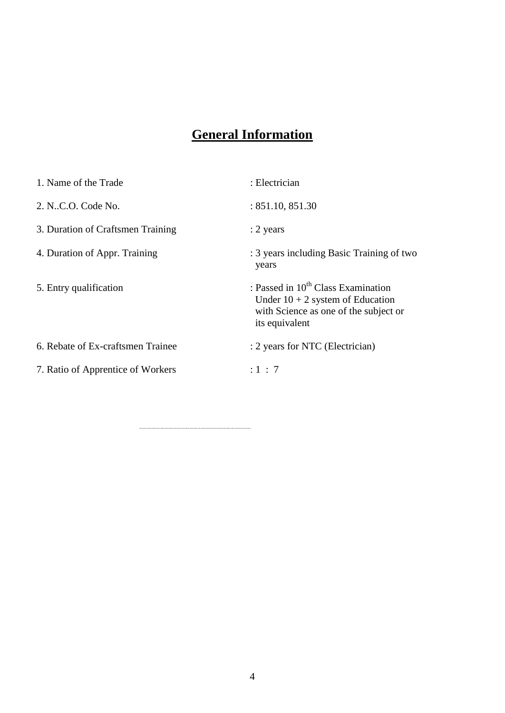### **General Information**

| 1. Name of the Trade              | : Electrician                                                                                                                                   |
|-----------------------------------|-------------------------------------------------------------------------------------------------------------------------------------------------|
| 2. N.C.O. Code No.                | : 851.10, 851.30                                                                                                                                |
| 3. Duration of Craftsmen Training | $: 2$ years                                                                                                                                     |
| 4. Duration of Appr. Training     | : 3 years including Basic Training of two<br>years                                                                                              |
| 5. Entry qualification            | : Passed in 10 <sup>th</sup> Class Examination<br>Under $10 + 2$ system of Education<br>with Science as one of the subject or<br>its equivalent |
| 6. Rebate of Ex-craftsmen Trainee | : 2 years for NTC (Electrician)                                                                                                                 |
| 7. Ratio of Apprentice of Workers | : 1 : 7                                                                                                                                         |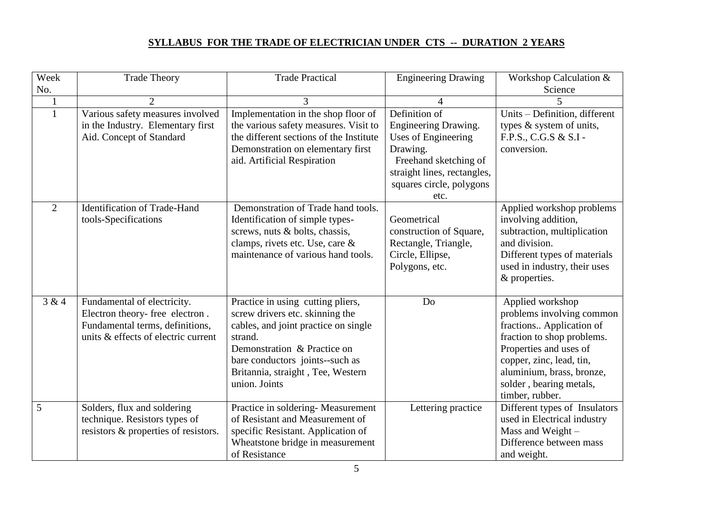#### **SYLLABUS FOR THE TRADE OF ELECTRICIAN UNDER CTS -- DURATION 2 YEARS**

| Week           | <b>Trade Theory</b>                                                                                                                      | <b>Trade Practical</b>                                                                                                                                                                                                                          | <b>Engineering Drawing</b>                                                                                                                                                  | Workshop Calculation &                                                                                                                                                                                                                   |
|----------------|------------------------------------------------------------------------------------------------------------------------------------------|-------------------------------------------------------------------------------------------------------------------------------------------------------------------------------------------------------------------------------------------------|-----------------------------------------------------------------------------------------------------------------------------------------------------------------------------|------------------------------------------------------------------------------------------------------------------------------------------------------------------------------------------------------------------------------------------|
| No.            |                                                                                                                                          |                                                                                                                                                                                                                                                 |                                                                                                                                                                             | Science                                                                                                                                                                                                                                  |
|                | $\overline{2}$                                                                                                                           | 3                                                                                                                                                                                                                                               | Δ                                                                                                                                                                           |                                                                                                                                                                                                                                          |
|                | Various safety measures involved<br>in the Industry. Elementary first<br>Aid. Concept of Standard                                        | Implementation in the shop floor of<br>the various safety measures. Visit to<br>the different sections of the Institute<br>Demonstration on elementary first<br>aid. Artificial Respiration                                                     | Definition of<br>Engineering Drawing.<br><b>Uses of Engineering</b><br>Drawing.<br>Freehand sketching of<br>straight lines, rectangles,<br>squares circle, polygons<br>etc. | Units - Definition, different<br>types & system of units,<br>F.P.S., C.G.S & S.I -<br>conversion.                                                                                                                                        |
| $\overline{2}$ | <b>Identification of Trade-Hand</b><br>tools-Specifications                                                                              | Demonstration of Trade hand tools.<br>Identification of simple types-<br>screws, nuts & bolts, chassis,<br>clamps, rivets etc. Use, care &<br>maintenance of various hand tools.                                                                | Geometrical<br>construction of Square,<br>Rectangle, Triangle,<br>Circle, Ellipse,<br>Polygons, etc.                                                                        | Applied workshop problems<br>involving addition,<br>subtraction, multiplication<br>and division.<br>Different types of materials<br>used in industry, their uses<br>& properties.                                                        |
| 3 & 4          | Fundamental of electricity.<br>Electron theory- free electron.<br>Fundamental terms, definitions,<br>units & effects of electric current | Practice in using cutting pliers,<br>screw drivers etc. skinning the<br>cables, and joint practice on single<br>strand.<br>Demonstration & Practice on<br>bare conductors joints--such as<br>Britannia, straight, Tee, Western<br>union. Joints | Do                                                                                                                                                                          | Applied workshop<br>problems involving common<br>fractions Application of<br>fraction to shop problems.<br>Properties and uses of<br>copper, zinc, lead, tin,<br>aluminium, brass, bronze,<br>solder, bearing metals,<br>timber, rubber. |
| 5              | Solders, flux and soldering<br>technique. Resistors types of<br>resistors & properties of resistors.                                     | Practice in soldering-Measurement<br>of Resistant and Measurement of<br>specific Resistant. Application of<br>Wheatstone bridge in measurement<br>of Resistance                                                                                 | Lettering practice                                                                                                                                                          | Different types of Insulators<br>used in Electrical industry<br>Mass and Weight-<br>Difference between mass<br>and weight.                                                                                                               |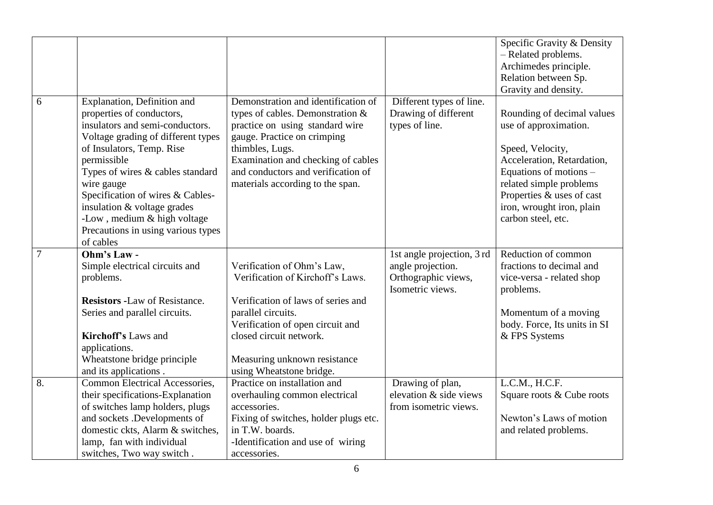|                |                                                                                                                                                                                                                                                                                                                                                                                      |                                                                                                                                                                                                                                                                                 |                                                                                            | Specific Gravity & Density                                                                                                                                                                                                                 |
|----------------|--------------------------------------------------------------------------------------------------------------------------------------------------------------------------------------------------------------------------------------------------------------------------------------------------------------------------------------------------------------------------------------|---------------------------------------------------------------------------------------------------------------------------------------------------------------------------------------------------------------------------------------------------------------------------------|--------------------------------------------------------------------------------------------|--------------------------------------------------------------------------------------------------------------------------------------------------------------------------------------------------------------------------------------------|
|                |                                                                                                                                                                                                                                                                                                                                                                                      |                                                                                                                                                                                                                                                                                 |                                                                                            | - Related problems.                                                                                                                                                                                                                        |
|                |                                                                                                                                                                                                                                                                                                                                                                                      |                                                                                                                                                                                                                                                                                 |                                                                                            | Archimedes principle.                                                                                                                                                                                                                      |
|                |                                                                                                                                                                                                                                                                                                                                                                                      |                                                                                                                                                                                                                                                                                 |                                                                                            | Relation between Sp.                                                                                                                                                                                                                       |
|                |                                                                                                                                                                                                                                                                                                                                                                                      |                                                                                                                                                                                                                                                                                 |                                                                                            | Gravity and density.                                                                                                                                                                                                                       |
| 6              | Explanation, Definition and<br>properties of conductors,<br>insulators and semi-conductors.<br>Voltage grading of different types<br>of Insulators, Temp. Rise<br>permissible<br>Types of wires & cables standard<br>wire gauge<br>Specification of wires & Cables-<br>insulation & voltage grades<br>-Low, medium & high voltage<br>Precautions in using various types<br>of cables | Demonstration and identification of<br>types of cables. Demonstration $\&$<br>practice on using standard wire<br>gauge. Practice on crimping<br>thimbles, Lugs.<br>Examination and checking of cables<br>and conductors and verification of<br>materials according to the span. | Different types of line.<br>Drawing of different<br>types of line.                         | Rounding of decimal values<br>use of approximation.<br>Speed, Velocity,<br>Acceleration, Retardation,<br>Equations of motions -<br>related simple problems<br>Properties & uses of cast<br>iron, wrought iron, plain<br>carbon steel, etc. |
| $\overline{7}$ | Ohm's Law -<br>Simple electrical circuits and<br>problems.                                                                                                                                                                                                                                                                                                                           | Verification of Ohm's Law,<br>Verification of Kirchoff's Laws.                                                                                                                                                                                                                  | 1st angle projection, 3 rd<br>angle projection.<br>Orthographic views,<br>Isometric views. | Reduction of common<br>fractions to decimal and<br>vice-versa - related shop<br>problems.                                                                                                                                                  |
|                | <b>Resistors -Law of Resistance.</b>                                                                                                                                                                                                                                                                                                                                                 | Verification of laws of series and                                                                                                                                                                                                                                              |                                                                                            |                                                                                                                                                                                                                                            |
|                | Series and parallel circuits.                                                                                                                                                                                                                                                                                                                                                        | parallel circuits.                                                                                                                                                                                                                                                              |                                                                                            | Momentum of a moving                                                                                                                                                                                                                       |
|                |                                                                                                                                                                                                                                                                                                                                                                                      | Verification of open circuit and                                                                                                                                                                                                                                                |                                                                                            | body. Force, Its units in SI                                                                                                                                                                                                               |
|                | <b>Kirchoff's Laws and</b>                                                                                                                                                                                                                                                                                                                                                           | closed circuit network.                                                                                                                                                                                                                                                         |                                                                                            | & FPS Systems                                                                                                                                                                                                                              |
|                | applications.                                                                                                                                                                                                                                                                                                                                                                        |                                                                                                                                                                                                                                                                                 |                                                                                            |                                                                                                                                                                                                                                            |
|                | Wheatstone bridge principle                                                                                                                                                                                                                                                                                                                                                          | Measuring unknown resistance                                                                                                                                                                                                                                                    |                                                                                            |                                                                                                                                                                                                                                            |
|                | and its applications.                                                                                                                                                                                                                                                                                                                                                                | using Wheatstone bridge.                                                                                                                                                                                                                                                        |                                                                                            |                                                                                                                                                                                                                                            |
| 8.             | Common Electrical Accessories,                                                                                                                                                                                                                                                                                                                                                       | Practice on installation and                                                                                                                                                                                                                                                    | Drawing of plan,                                                                           | L.C.M., H.C.F.                                                                                                                                                                                                                             |
|                | their specifications-Explanation                                                                                                                                                                                                                                                                                                                                                     | overhauling common electrical                                                                                                                                                                                                                                                   | elevation & side views                                                                     | Square roots & Cube roots                                                                                                                                                                                                                  |
|                | of switches lamp holders, plugs                                                                                                                                                                                                                                                                                                                                                      | accessories.                                                                                                                                                                                                                                                                    | from isometric views.                                                                      |                                                                                                                                                                                                                                            |
|                | and sockets .Developments of                                                                                                                                                                                                                                                                                                                                                         | Fixing of switches, holder plugs etc.                                                                                                                                                                                                                                           |                                                                                            | Newton's Laws of motion                                                                                                                                                                                                                    |
|                | domestic ckts, Alarm & switches,                                                                                                                                                                                                                                                                                                                                                     | in T.W. boards.                                                                                                                                                                                                                                                                 |                                                                                            | and related problems.                                                                                                                                                                                                                      |
|                | lamp, fan with individual                                                                                                                                                                                                                                                                                                                                                            | -Identification and use of wiring                                                                                                                                                                                                                                               |                                                                                            |                                                                                                                                                                                                                                            |
|                | switches, Two way switch.                                                                                                                                                                                                                                                                                                                                                            | accessories.                                                                                                                                                                                                                                                                    |                                                                                            |                                                                                                                                                                                                                                            |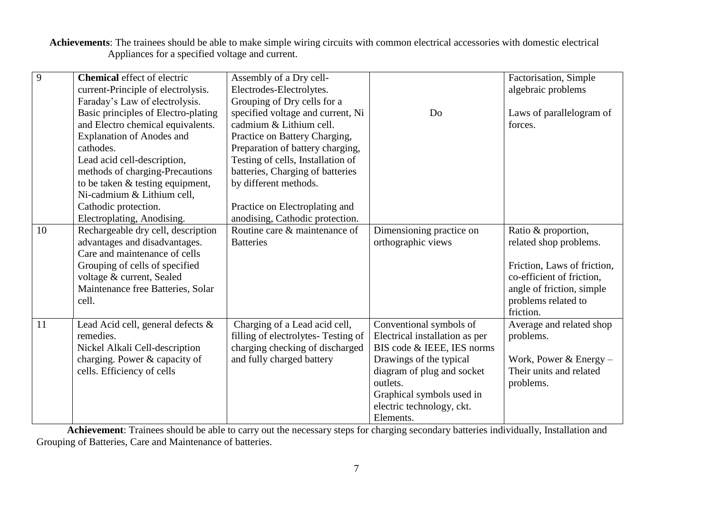**Achievements**: The trainees should be able to make simple wiring circuits with common electrical accessories with domestic electrical Appliances for a specified voltage and current.

| 9  | <b>Chemical</b> effect of electric  | Assembly of a Dry cell-             |                                | Factorisation, Simple       |
|----|-------------------------------------|-------------------------------------|--------------------------------|-----------------------------|
|    | current-Principle of electrolysis.  | Electrodes-Electrolytes.            |                                | algebraic problems          |
|    | Faraday's Law of electrolysis.      | Grouping of Dry cells for a         |                                |                             |
|    | Basic principles of Electro-plating | specified voltage and current, Ni   | Do                             | Laws of parallelogram of    |
|    | and Electro chemical equivalents.   | cadmium & Lithium cell.             |                                | forces.                     |
|    | <b>Explanation of Anodes and</b>    | Practice on Battery Charging,       |                                |                             |
|    | cathodes.                           | Preparation of battery charging,    |                                |                             |
|    | Lead acid cell-description,         | Testing of cells, Installation of   |                                |                             |
|    | methods of charging-Precautions     | batteries, Charging of batteries    |                                |                             |
|    | to be taken & testing equipment,    | by different methods.               |                                |                             |
|    | Ni-cadmium & Lithium cell,          |                                     |                                |                             |
|    | Cathodic protection.                | Practice on Electroplating and      |                                |                             |
|    | Electroplating, Anodising.          | anodising, Cathodic protection.     |                                |                             |
| 10 | Rechargeable dry cell, description  | Routine care & maintenance of       | Dimensioning practice on       | Ratio & proportion,         |
|    | advantages and disadvantages.       | <b>Batteries</b>                    | orthographic views             | related shop problems.      |
|    | Care and maintenance of cells       |                                     |                                |                             |
|    | Grouping of cells of specified      |                                     |                                | Friction, Laws of friction, |
|    | voltage & current, Sealed           |                                     |                                | co-efficient of friction,   |
|    | Maintenance free Batteries, Solar   |                                     |                                | angle of friction, simple   |
|    | cell.                               |                                     |                                | problems related to         |
|    |                                     |                                     |                                | friction.                   |
| 11 | Lead Acid cell, general defects &   | Charging of a Lead acid cell,       | Conventional symbols of        | Average and related shop    |
|    | remedies.                           | filling of electrolytes- Testing of | Electrical installation as per | problems.                   |
|    | Nickel Alkali Cell-description      | charging checking of discharged     | BIS code & IEEE, IES norms     |                             |
|    | charging. Power & capacity of       | and fully charged battery           | Drawings of the typical        | Work, Power & Energy $-$    |
|    | cells. Efficiency of cells          |                                     | diagram of plug and socket     | Their units and related     |
|    |                                     |                                     | outlets.                       | problems.                   |
|    |                                     |                                     | Graphical symbols used in      |                             |
|    |                                     |                                     | electric technology, ckt.      |                             |
|    |                                     |                                     | Elements.                      |                             |

 **Achievement**: Trainees should be able to carry out the necessary steps for charging secondary batteries individually, Installation and Grouping of Batteries, Care and Maintenance of batteries.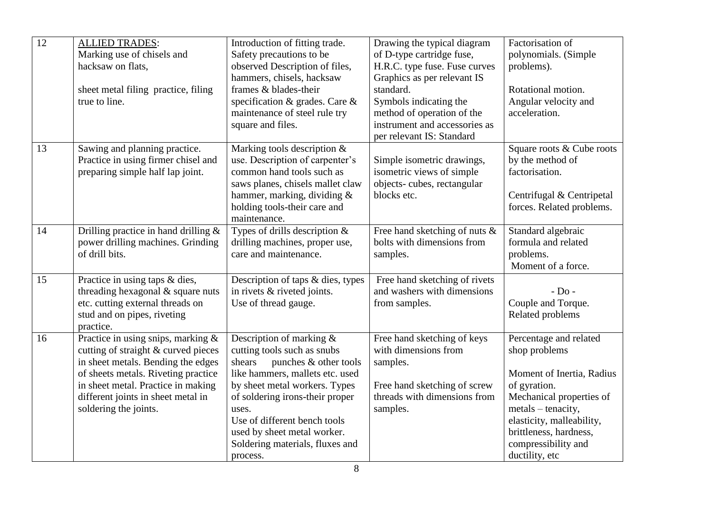| $\overline{12}$ | <b>ALLIED TRADES:</b><br>Marking use of chisels and<br>hacksaw on flats,<br>sheet metal filing practice, filing<br>true to line.                                                                                                                               | Introduction of fitting trade.<br>Safety precautions to be<br>observed Description of files,<br>hammers, chisels, hacksaw<br>frames & blades-their<br>specification & grades. Care &<br>maintenance of steel rule try<br>square and files.                                                                               | Drawing the typical diagram<br>of D-type cartridge fuse,<br>H.R.C. type fuse. Fuse curves<br>Graphics as per relevant IS<br>standard.<br>Symbols indicating the<br>method of operation of the<br>instrument and accessories as<br>per relevant IS: Standard | Factorisation of<br>polynomials. (Simple<br>problems).<br>Rotational motion.<br>Angular velocity and<br>acceleration.                                                                                                                  |
|-----------------|----------------------------------------------------------------------------------------------------------------------------------------------------------------------------------------------------------------------------------------------------------------|--------------------------------------------------------------------------------------------------------------------------------------------------------------------------------------------------------------------------------------------------------------------------------------------------------------------------|-------------------------------------------------------------------------------------------------------------------------------------------------------------------------------------------------------------------------------------------------------------|----------------------------------------------------------------------------------------------------------------------------------------------------------------------------------------------------------------------------------------|
| 13              | Sawing and planning practice.<br>Practice in using firmer chisel and<br>preparing simple half lap joint.                                                                                                                                                       | Marking tools description &<br>use. Description of carpenter's<br>common hand tools such as<br>saws planes, chisels mallet claw<br>hammer, marking, dividing &<br>holding tools-their care and<br>maintenance.                                                                                                           | Simple isometric drawings,<br>isometric views of simple<br>objects-cubes, rectangular<br>blocks etc.                                                                                                                                                        | Square roots & Cube roots<br>by the method of<br>factorisation.<br>Centrifugal & Centripetal<br>forces. Related problems.                                                                                                              |
| 14              | Drilling practice in hand drilling $&$<br>power drilling machines. Grinding<br>of drill bits.                                                                                                                                                                  | Types of drills description $&$<br>drilling machines, proper use,<br>care and maintenance.                                                                                                                                                                                                                               | Free hand sketching of nuts $\&$<br>bolts with dimensions from<br>samples.                                                                                                                                                                                  | Standard algebraic<br>formula and related<br>problems.<br>Moment of a force.                                                                                                                                                           |
| 15              | Practice in using taps & dies,<br>threading hexagonal & square nuts<br>etc. cutting external threads on<br>stud and on pipes, riveting<br>practice.                                                                                                            | Description of taps & dies, types<br>in rivets & riveted joints.<br>Use of thread gauge.                                                                                                                                                                                                                                 | Free hand sketching of rivets<br>and washers with dimensions<br>from samples.                                                                                                                                                                               | $-$ Do $-$<br>Couple and Torque.<br>Related problems                                                                                                                                                                                   |
| 16              | Practice in using snips, marking $\&$<br>cutting of straight & curved pieces<br>in sheet metals. Bending the edges<br>of sheets metals. Riveting practice<br>in sheet metal. Practice in making<br>different joints in sheet metal in<br>soldering the joints. | Description of marking &<br>cutting tools such as snubs<br>punches & other tools<br>shears<br>like hammers, mallets etc. used<br>by sheet metal workers. Types<br>of soldering irons-their proper<br>uses.<br>Use of different bench tools<br>used by sheet metal worker.<br>Soldering materials, fluxes and<br>process. | Free hand sketching of keys<br>with dimensions from<br>samples.<br>Free hand sketching of screw<br>threads with dimensions from<br>samples.                                                                                                                 | Percentage and related<br>shop problems<br>Moment of Inertia, Radius<br>of gyration.<br>Mechanical properties of<br>metals – tenacity,<br>elasticity, malleability,<br>brittleness, hardness,<br>compressibility and<br>ductility, etc |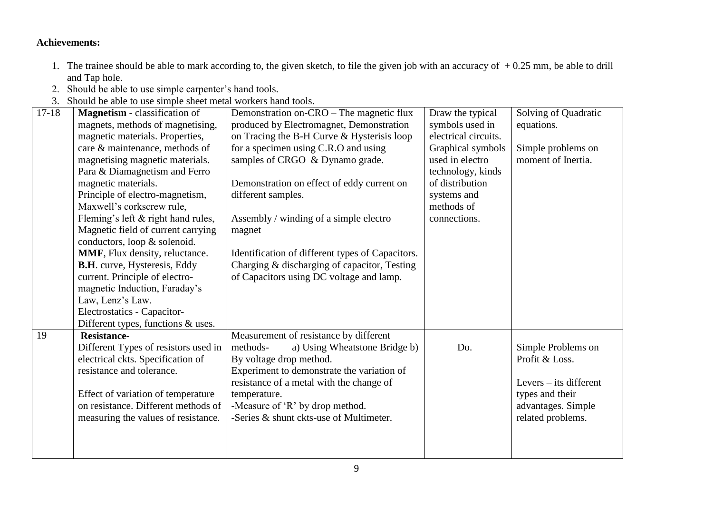#### **Achievements:**

- 1. The trainee should be able to mark according to, the given sketch, to file the given job with an accuracy of + 0.25 mm, be able to drill and Tap hole.
- 2. Should be able to use simple carpenter's hand tools.
- 3. Should be able to use simple sheet metal workers hand tools.

| $17 - 18$ | <b>Magnetism</b> - classification of<br>magnets, methods of magnetising,<br>magnetic materials. Properties,<br>care & maintenance, methods of<br>magnetising magnetic materials.<br>Para & Diamagnetism and Ferro<br>magnetic materials.<br>Principle of electro-magnetism,<br>Maxwell's corkscrew rule,<br>Fleming's left & right hand rules,<br>Magnetic field of current carrying<br>conductors, loop & solenoid.<br>MMF, Flux density, reluctance.<br><b>B.H.</b> curve, Hysteresis, Eddy | Demonstration on-CRO – The magnetic flux<br>produced by Electromagnet, Demonstration<br>on Tracing the B-H Curve & Hysterisis loop<br>for a specimen using C.R.O and using<br>samples of CRGO & Dynamo grade.<br>Demonstration on effect of eddy current on<br>different samples.<br>Assembly / winding of a simple electro<br>magnet<br>Identification of different types of Capacitors.<br>Charging & discharging of capacitor, Testing | Draw the typical<br>symbols used in<br>electrical circuits.<br>Graphical symbols<br>used in electro<br>technology, kinds<br>of distribution<br>systems and<br>methods of<br>connections. | Solving of Quadratic<br>equations.<br>Simple problems on<br>moment of Inertia. |
|-----------|-----------------------------------------------------------------------------------------------------------------------------------------------------------------------------------------------------------------------------------------------------------------------------------------------------------------------------------------------------------------------------------------------------------------------------------------------------------------------------------------------|-------------------------------------------------------------------------------------------------------------------------------------------------------------------------------------------------------------------------------------------------------------------------------------------------------------------------------------------------------------------------------------------------------------------------------------------|------------------------------------------------------------------------------------------------------------------------------------------------------------------------------------------|--------------------------------------------------------------------------------|
|           | current. Principle of electro-                                                                                                                                                                                                                                                                                                                                                                                                                                                                | of Capacitors using DC voltage and lamp.                                                                                                                                                                                                                                                                                                                                                                                                  |                                                                                                                                                                                          |                                                                                |
|           | magnetic Induction, Faraday's<br>Law, Lenz's Law.                                                                                                                                                                                                                                                                                                                                                                                                                                             |                                                                                                                                                                                                                                                                                                                                                                                                                                           |                                                                                                                                                                                          |                                                                                |
|           | Electrostatics - Capacitor-                                                                                                                                                                                                                                                                                                                                                                                                                                                                   |                                                                                                                                                                                                                                                                                                                                                                                                                                           |                                                                                                                                                                                          |                                                                                |
|           | Different types, functions & uses.                                                                                                                                                                                                                                                                                                                                                                                                                                                            |                                                                                                                                                                                                                                                                                                                                                                                                                                           |                                                                                                                                                                                          |                                                                                |
| 19        | <b>Resistance-</b><br>Different Types of resistors used in<br>electrical ckts. Specification of<br>resistance and tolerance.                                                                                                                                                                                                                                                                                                                                                                  | Measurement of resistance by different<br>a) Using Wheatstone Bridge b)<br>methods-<br>By voltage drop method.<br>Experiment to demonstrate the variation of<br>resistance of a metal with the change of                                                                                                                                                                                                                                  | Do.                                                                                                                                                                                      | Simple Problems on<br>Profit & Loss.<br>Levers – its different                 |
|           | Effect of variation of temperature<br>on resistance. Different methods of<br>measuring the values of resistance.                                                                                                                                                                                                                                                                                                                                                                              | temperature.<br>-Measure of 'R' by drop method.<br>-Series & shunt ckts-use of Multimeter.                                                                                                                                                                                                                                                                                                                                                |                                                                                                                                                                                          | types and their<br>advantages. Simple<br>related problems.                     |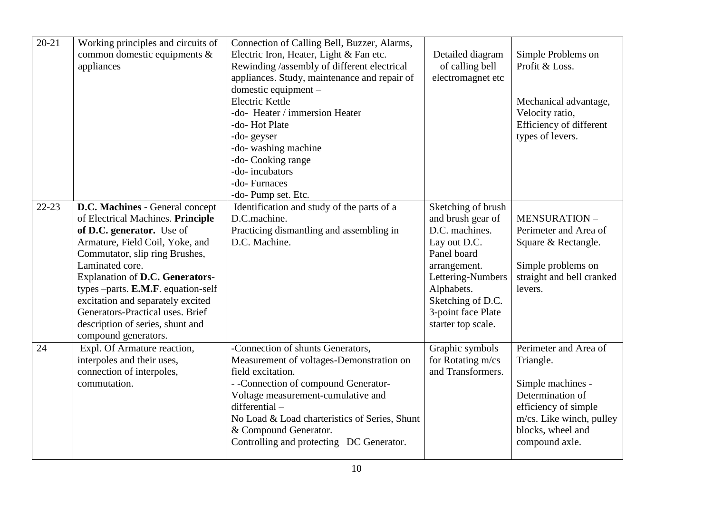| $20 - 21$ | Working principles and circuits of<br>common domestic equipments &<br>appliances                                                                                                                                                                                                                                                                                                                          | Connection of Calling Bell, Buzzer, Alarms,<br>Electric Iron, Heater, Light & Fan etc.<br>Rewinding /assembly of different electrical<br>appliances. Study, maintenance and repair of<br>domestic equipment $-$<br>Electric Kettle<br>-do- Heater / immersion Heater<br>-do-Hot Plate<br>-do-geyser<br>-do- washing machine<br>-do- Cooking range<br>-do-incubators<br>-do-Furnaces<br>-do- Pump set. Etc. | Detailed diagram<br>of calling bell<br>electromagnet etc                                                                                                                                                     | Simple Problems on<br>Profit & Loss.<br>Mechanical advantage,<br>Velocity ratio,<br>Efficiency of different<br>types of levers.                                        |
|-----------|-----------------------------------------------------------------------------------------------------------------------------------------------------------------------------------------------------------------------------------------------------------------------------------------------------------------------------------------------------------------------------------------------------------|------------------------------------------------------------------------------------------------------------------------------------------------------------------------------------------------------------------------------------------------------------------------------------------------------------------------------------------------------------------------------------------------------------|--------------------------------------------------------------------------------------------------------------------------------------------------------------------------------------------------------------|------------------------------------------------------------------------------------------------------------------------------------------------------------------------|
| $22 - 23$ | D.C. Machines - General concept<br>of Electrical Machines. Principle<br>of D.C. generator. Use of<br>Armature, Field Coil, Yoke, and<br>Commutator, slip ring Brushes,<br>Laminated core.<br>Explanation of D.C. Generators-<br>types $-parts. E.M.F. equation-self$<br>excitation and separately excited<br>Generators-Practical uses. Brief<br>description of series, shunt and<br>compound generators. | Identification and study of the parts of a<br>D.C.machine.<br>Practicing dismantling and assembling in<br>D.C. Machine.                                                                                                                                                                                                                                                                                    | Sketching of brush<br>and brush gear of<br>D.C. machines.<br>Lay out D.C.<br>Panel board<br>arrangement.<br>Lettering-Numbers<br>Alphabets.<br>Sketching of D.C.<br>3-point face Plate<br>starter top scale. | <b>MENSURATION-</b><br>Perimeter and Area of<br>Square & Rectangle.<br>Simple problems on<br>straight and bell cranked<br>levers.                                      |
| 24        | Expl. Of Armature reaction,<br>interpoles and their uses,<br>connection of interpoles,<br>commutation.                                                                                                                                                                                                                                                                                                    | -Connection of shunts Generators,<br>Measurement of voltages-Demonstration on<br>field excitation.<br>- -Connection of compound Generator-<br>Voltage measurement-cumulative and<br>$differential -$<br>No Load & Load charteristics of Series, Shunt<br>& Compound Generator.<br>Controlling and protecting DC Generator.                                                                                 | Graphic symbols<br>for Rotating m/cs<br>and Transformers.                                                                                                                                                    | Perimeter and Area of<br>Triangle.<br>Simple machines -<br>Determination of<br>efficiency of simple<br>m/cs. Like winch, pulley<br>blocks, wheel and<br>compound axle. |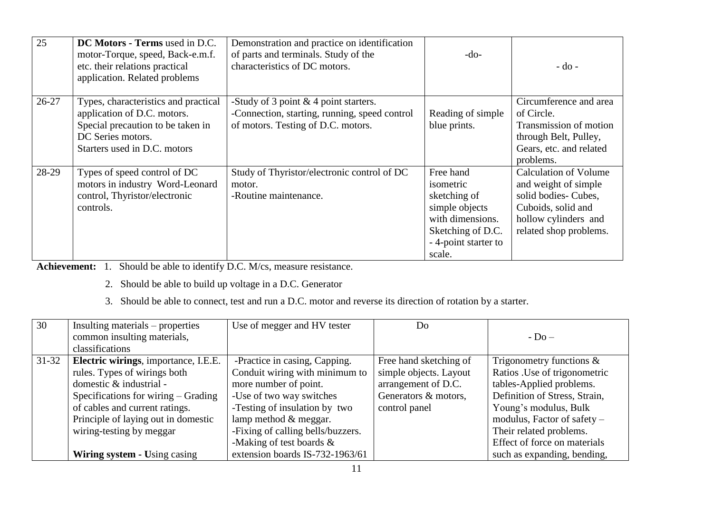| 25        | DC Motors - Terms used in D.C.<br>motor-Torque, speed, Back-e.m.f.<br>etc. their relations practical<br>application. Related problems                         | Demonstration and practice on identification<br>of parts and terminals. Study of the<br>characteristics of DC motors.           | $-do-$                                                                                                                              | $-do$ -                                                                                                                                             |
|-----------|---------------------------------------------------------------------------------------------------------------------------------------------------------------|---------------------------------------------------------------------------------------------------------------------------------|-------------------------------------------------------------------------------------------------------------------------------------|-----------------------------------------------------------------------------------------------------------------------------------------------------|
| $26 - 27$ | Types, characteristics and practical<br>application of D.C. motors.<br>Special precaution to be taken in<br>DC Series motors.<br>Starters used in D.C. motors | -Study of 3 point $\&$ 4 point starters.<br>-Connection, starting, running, speed control<br>of motors. Testing of D.C. motors. | Reading of simple<br>blue prints.                                                                                                   | Circumference and area<br>of Circle.<br>Transmission of motion<br>through Belt, Pulley,<br>Gears, etc. and related<br>problems.                     |
| 28-29     | Types of speed control of DC<br>motors in industry Word-Leonard<br>control, Thyristor/electronic<br>controls.                                                 | Study of Thyristor/electronic control of DC<br>motor.<br>-Routine maintenance.                                                  | Free hand<br>isometric<br>sketching of<br>simple objects<br>with dimensions.<br>Sketching of D.C.<br>- 4-point starter to<br>scale. | <b>Calculation of Volume</b><br>and weight of simple<br>solid bodies-Cubes,<br>Cuboids, solid and<br>hollow cylinders and<br>related shop problems. |

Achievement: 1. Should be able to identify D.C. M/cs, measure resistance.

- 2. Should be able to build up voltage in a D.C. Generator
- 3. Should be able to connect, test and run a D.C. motor and reverse its direction of rotation by a starter.

| 30        | Insulting materials – properties      | Use of megger and HV tester       | Do                     |                               |
|-----------|---------------------------------------|-----------------------------------|------------------------|-------------------------------|
|           | common insulting materials,           |                                   |                        | $-$ Do $-$                    |
|           | classifications                       |                                   |                        |                               |
| $31 - 32$ | Electric wirings, importance, I.E.E.  | -Practice in casing, Capping.     | Free hand sketching of | Trigonometry functions $\&$   |
|           | rules. Types of wirings both          | Conduit wiring with minimum to    | simple objects. Layout | Ratios . Use of trigonometric |
|           | domestic & industrial -               | more number of point.             | arrangement of D.C.    | tables-Applied problems.      |
|           | Specifications for wiring $-$ Grading | -Use of two way switches          | Generators & motors,   | Definition of Stress, Strain, |
|           | of cables and current ratings.        | -Testing of insulation by two     | control panel          | Young's modulus, Bulk         |
|           | Principle of laying out in domestic   | lamp method $&$ meggar.           |                        | modulus, Factor of safety –   |
|           | wiring-testing by meggar              | -Fixing of calling bells/buzzers. |                        | Their related problems.       |
|           |                                       | -Making of test boards $\&$       |                        | Effect of force on materials  |
|           | Wiring system - Using casing          | extension boards IS-732-1963/61   |                        | such as expanding, bending,   |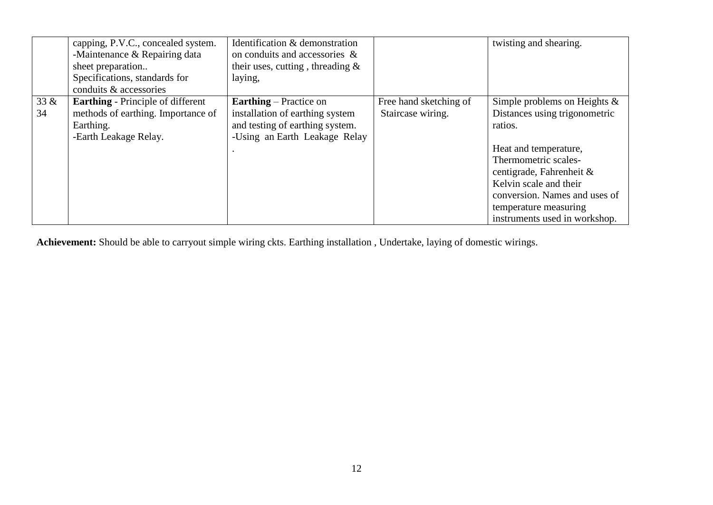|      | capping, P.V.C., concealed system.       | Identification & demonstration      |                        | twisting and shearing.          |
|------|------------------------------------------|-------------------------------------|------------------------|---------------------------------|
|      | -Maintenance & Repairing data            | on conduits and accessories &       |                        |                                 |
|      | sheet preparation                        | their uses, cutting, threading $\&$ |                        |                                 |
|      | Specifications, standards for            | laying,                             |                        |                                 |
|      | conduits & accessories                   |                                     |                        |                                 |
| 33 & | <b>Earthing</b> - Principle of different | <b>Earthing</b> – Practice on       | Free hand sketching of | Simple problems on Heights $\&$ |
| 34   | methods of earthing. Importance of       | installation of earthing system     | Staircase wiring.      | Distances using trigonometric   |
|      | Earthing.                                | and testing of earthing system.     |                        | ratios.                         |
|      | -Earth Leakage Relay.                    | -Using an Earth Leakage Relay       |                        |                                 |
|      |                                          |                                     |                        | Heat and temperature,           |
|      |                                          |                                     |                        | Thermometric scales-            |
|      |                                          |                                     |                        | centigrade, Fahrenheit &        |
|      |                                          |                                     |                        | Kelvin scale and their          |
|      |                                          |                                     |                        | conversion. Names and uses of   |
|      |                                          |                                     |                        | temperature measuring           |
|      |                                          |                                     |                        | instruments used in workshop.   |

**Achievement:** Should be able to carryout simple wiring ckts. Earthing installation , Undertake, laying of domestic wirings.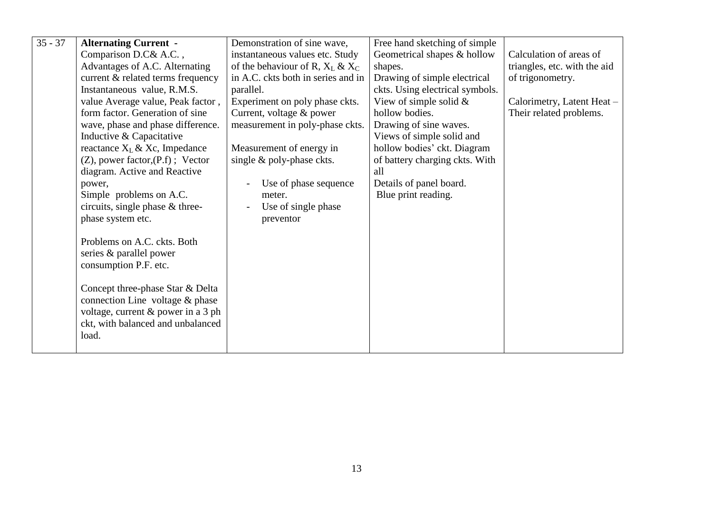| $35 - 37$ | <b>Alternating Current -</b>                                                                                                                           | Demonstration of sine wave,         | Free hand sketching of simple   |                              |
|-----------|--------------------------------------------------------------------------------------------------------------------------------------------------------|-------------------------------------|---------------------------------|------------------------------|
|           | Comparison D.C& A.C.,                                                                                                                                  | instantaneous values etc. Study     | Geometrical shapes & hollow     | Calculation of areas of      |
|           | Advantages of A.C. Alternating                                                                                                                         | of the behaviour of R, $X_L \& X_C$ | shapes.                         | triangles, etc. with the aid |
|           | current & related terms frequency                                                                                                                      | in A.C. ckts both in series and in  | Drawing of simple electrical    | of trigonometry.             |
|           | Instantaneous value, R.M.S.                                                                                                                            | parallel.                           | ckts. Using electrical symbols. |                              |
|           | value Average value, Peak factor,                                                                                                                      | Experiment on poly phase ckts.      | View of simple solid $&$        | Calorimetry, Latent Heat -   |
|           | form factor. Generation of sine                                                                                                                        | Current, voltage & power            | hollow bodies.                  | Their related problems.      |
|           | wave, phase and phase difference.                                                                                                                      | measurement in poly-phase ckts.     | Drawing of sine waves.          |                              |
|           | Inductive & Capacitative                                                                                                                               |                                     | Views of simple solid and       |                              |
|           | reactance $X_L \& X_c$ , Impedance                                                                                                                     | Measurement of energy in            | hollow bodies' ckt. Diagram     |                              |
|           | $(Z)$ , power factor, $(P.f)$ ; Vector                                                                                                                 | single $\&$ poly-phase ckts.        | of battery charging ckts. With  |                              |
|           | diagram. Active and Reactive                                                                                                                           |                                     | all                             |                              |
|           | power,                                                                                                                                                 | Use of phase sequence               | Details of panel board.         |                              |
|           | Simple problems on A.C.                                                                                                                                | meter.                              | Blue print reading.             |                              |
|           | circuits, single phase & three-                                                                                                                        | Use of single phase                 |                                 |                              |
|           | phase system etc.                                                                                                                                      | preventor                           |                                 |                              |
|           | Problems on A.C. ckts. Both<br>series & parallel power<br>consumption P.F. etc.<br>Concept three-phase Star & Delta<br>connection Line voltage & phase |                                     |                                 |                              |
|           | voltage, current & power in a 3 ph<br>ckt, with balanced and unbalanced<br>load.                                                                       |                                     |                                 |                              |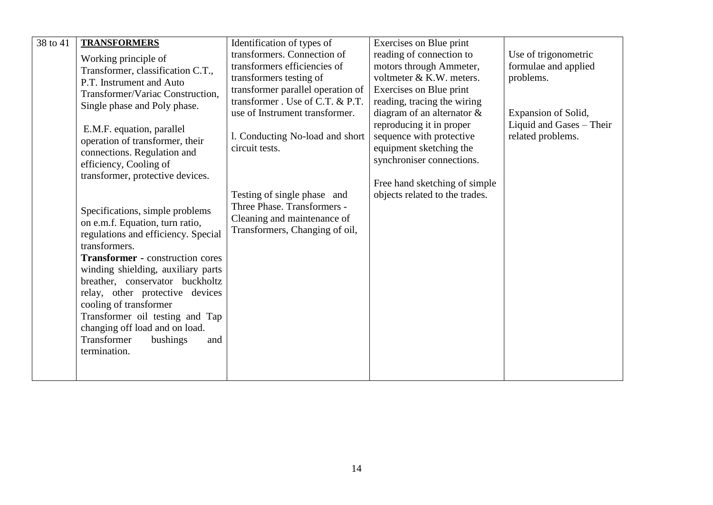| 38 to 41 | <b>TRANSFORMERS</b>                                  | Identification of types of        | Exercises on Blue print        |                          |
|----------|------------------------------------------------------|-----------------------------------|--------------------------------|--------------------------|
|          | Working principle of                                 | transformers. Connection of       | reading of connection to       | Use of trigonometric     |
|          | Transformer, classification C.T.,                    | transformers efficiencies of      | motors through Ammeter,        | formulae and applied     |
|          | P.T. Instrument and Auto                             | transformers testing of           | voltmeter & K.W. meters.       | problems.                |
|          | Transformer/Variac Construction,                     | transformer parallel operation of | Exercises on Blue print        |                          |
|          | Single phase and Poly phase.                         | transformer . Use of C.T. & P.T.  | reading, tracing the wiring    |                          |
|          |                                                      | use of Instrument transformer.    | diagram of an alternator $\&$  | Expansion of Solid,      |
|          | E.M.F. equation, parallel                            |                                   | reproducing it in proper       | Liquid and Gases - Their |
|          | operation of transformer, their                      | 1. Conducting No-load and short   | sequence with protective       | related problems.        |
|          | connections. Regulation and                          | circuit tests.                    | equipment sketching the        |                          |
|          | efficiency, Cooling of                               |                                   | synchroniser connections.      |                          |
|          | transformer, protective devices.                     |                                   | Free hand sketching of simple  |                          |
|          |                                                      | Testing of single phase and       | objects related to the trades. |                          |
|          |                                                      | Three Phase. Transformers -       |                                |                          |
|          | Specifications, simple problems                      | Cleaning and maintenance of       |                                |                          |
|          | on e.m.f. Equation, turn ratio,                      | Transformers, Changing of oil,    |                                |                          |
|          | regulations and efficiency. Special<br>transformers. |                                   |                                |                          |
|          | <b>Transformer - construction cores</b>              |                                   |                                |                          |
|          | winding shielding, auxiliary parts                   |                                   |                                |                          |
|          | breather, conservator buckholtz                      |                                   |                                |                          |
|          | relay, other protective devices                      |                                   |                                |                          |
|          | cooling of transformer                               |                                   |                                |                          |
|          | Transformer oil testing and Tap                      |                                   |                                |                          |
|          | changing off load and on load.                       |                                   |                                |                          |
|          | Transformer<br>bushings<br>and                       |                                   |                                |                          |
|          | termination.                                         |                                   |                                |                          |
|          |                                                      |                                   |                                |                          |
|          |                                                      |                                   |                                |                          |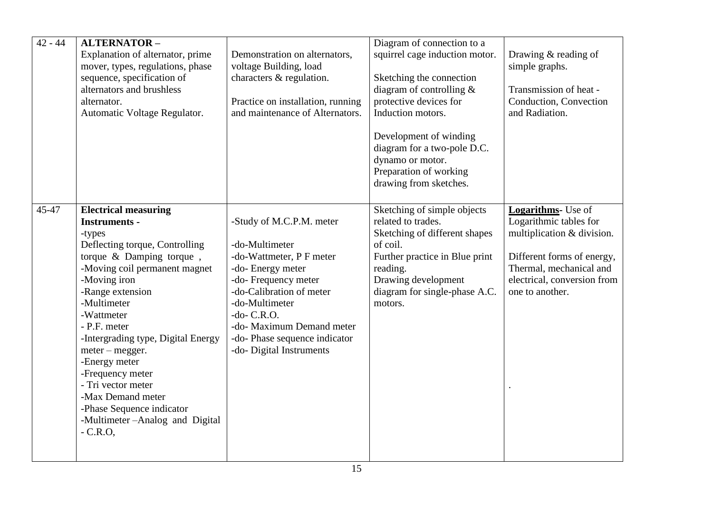| $42 - 44$ | <b>ALTERNATOR-</b>                            |                                          | Diagram of connection to a      |                                                       |
|-----------|-----------------------------------------------|------------------------------------------|---------------------------------|-------------------------------------------------------|
|           | Explanation of alternator, prime              | Demonstration on alternators,            | squirrel cage induction motor.  | Drawing & reading of                                  |
|           | mover, types, regulations, phase              | voltage Building, load                   |                                 | simple graphs.                                        |
|           | sequence, specification of                    | characters & regulation.                 | Sketching the connection        |                                                       |
|           | alternators and brushless                     |                                          | diagram of controlling $&$      | Transmission of heat -                                |
|           | alternator.                                   | Practice on installation, running        | protective devices for          | Conduction, Convection                                |
|           | Automatic Voltage Regulator.                  | and maintenance of Alternators.          | Induction motors.               | and Radiation.                                        |
|           |                                               |                                          |                                 |                                                       |
|           |                                               |                                          | Development of winding          |                                                       |
|           |                                               |                                          | diagram for a two-pole D.C.     |                                                       |
|           |                                               |                                          | dynamo or motor.                |                                                       |
|           |                                               |                                          | Preparation of working          |                                                       |
|           |                                               |                                          | drawing from sketches.          |                                                       |
|           |                                               |                                          |                                 |                                                       |
| 45-47     | <b>Electrical measuring</b>                   |                                          | Sketching of simple objects     | <b>Logarithms</b> - Use of                            |
|           | <b>Instruments -</b>                          | -Study of M.C.P.M. meter                 | related to trades.              | Logarithmic tables for                                |
|           | -types                                        |                                          | Sketching of different shapes   | multiplication & division.                            |
|           | Deflecting torque, Controlling                | -do-Multimeter                           | of coil.                        |                                                       |
|           | torque & Damping torque,                      | -do-Wattmeter, P F meter                 | Further practice in Blue print  | Different forms of energy,<br>Thermal, mechanical and |
|           | -Moving coil permanent magnet<br>-Moving iron | -do- Energy meter<br>-do-Frequency meter | reading.<br>Drawing development | electrical, conversion from                           |
|           | -Range extension                              | -do-Calibration of meter                 | diagram for single-phase A.C.   | one to another.                                       |
|           | -Multimeter                                   | -do-Multimeter                           | motors.                         |                                                       |
|           | -Wattmeter                                    | $-do$ - C.R.O.                           |                                 |                                                       |
|           | - P.F. meter                                  | -do- Maximum Demand meter                |                                 |                                                       |
|           | -Intergrading type, Digital Energy            | -do-Phase sequence indicator             |                                 |                                                       |
|           | $meter - megger.$                             | -do- Digital Instruments                 |                                 |                                                       |
|           | -Energy meter                                 |                                          |                                 |                                                       |
|           | -Frequency meter                              |                                          |                                 |                                                       |
|           | - Tri vector meter                            |                                          |                                 |                                                       |
|           | -Max Demand meter                             |                                          |                                 |                                                       |
|           | -Phase Sequence indicator                     |                                          |                                 |                                                       |
|           | -Multimeter-Analog and Digital                |                                          |                                 |                                                       |
|           | $-C.R.O$                                      |                                          |                                 |                                                       |
|           |                                               |                                          |                                 |                                                       |
|           |                                               |                                          |                                 |                                                       |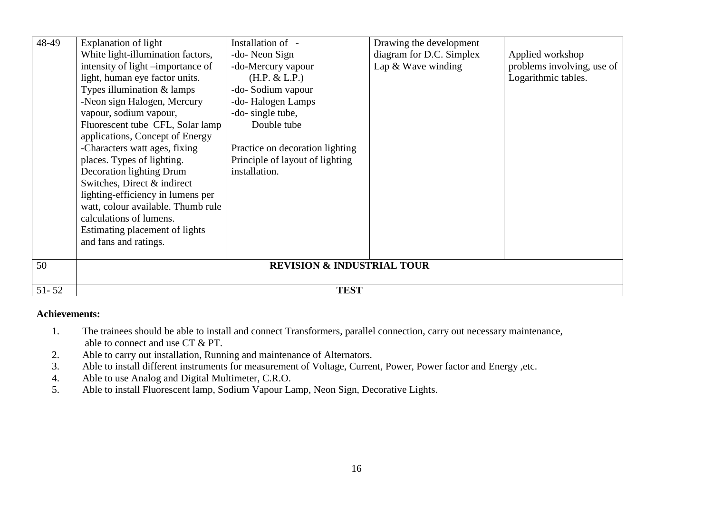| 48-49     | <b>Explanation of light</b>        | Installation of -                     | Drawing the development  |                            |
|-----------|------------------------------------|---------------------------------------|--------------------------|----------------------------|
|           | White light-illumination factors,  | -do- Neon Sign                        | diagram for D.C. Simplex | Applied workshop           |
|           | intensity of light -importance of  | -do-Mercury vapour                    | Lap & Wave winding       | problems involving, use of |
|           | light, human eye factor units.     | (H.P. & L.P.)                         |                          | Logarithmic tables.        |
|           | Types illumination & lamps         | -do-Sodium vapour                     |                          |                            |
|           | -Neon sign Halogen, Mercury        | -do-Halogen Lamps                     |                          |                            |
|           | vapour, sodium vapour,             | -do- single tube,                     |                          |                            |
|           | Fluorescent tube CFL, Solar lamp   | Double tube                           |                          |                            |
|           | applications, Concept of Energy    |                                       |                          |                            |
|           | -Characters watt ages, fixing      | Practice on decoration lighting       |                          |                            |
|           | places. Types of lighting.         | Principle of layout of lighting       |                          |                            |
|           | Decoration lighting Drum           | installation.                         |                          |                            |
|           | Switches, Direct & indirect        |                                       |                          |                            |
|           | lighting-efficiency in lumens per  |                                       |                          |                            |
|           | watt, colour available. Thumb rule |                                       |                          |                            |
|           | calculations of lumens.            |                                       |                          |                            |
|           | Estimating placement of lights     |                                       |                          |                            |
|           | and fans and ratings.              |                                       |                          |                            |
|           |                                    |                                       |                          |                            |
| 50        |                                    | <b>REVISION &amp; INDUSTRIAL TOUR</b> |                          |                            |
|           |                                    |                                       |                          |                            |
| $51 - 52$ |                                    | <b>TEST</b>                           |                          |                            |

#### **Achievements:**

- 1. The trainees should be able to install and connect Transformers, parallel connection, carry out necessary maintenance, able to connect and use CT & PT.
- 2. Able to carry out installation, Running and maintenance of Alternators.
- 3. Able to install different instruments for measurement of Voltage, Current, Power, Power factor and Energy ,etc.<br>4. Able to use Analog and Digital Multimeter, C.R.O.
- 4. Able to use Analog and Digital Multimeter, C.R.O.<br>5. Able to install Fluorescent lamp. Sodium Vapour La
- 5. Able to install Fluorescent lamp, Sodium Vapour Lamp, Neon Sign, Decorative Lights.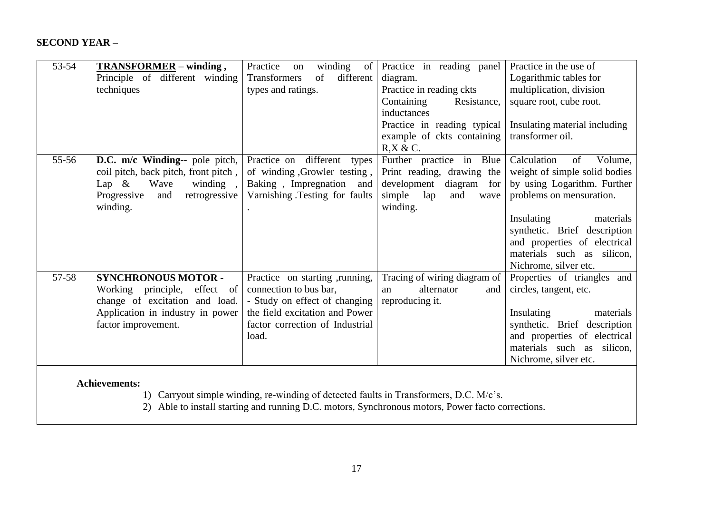#### **SECOND YEAR –**

| 53-54 | TRANSFORMER - winding,                                            | Practice<br>winding<br>of<br>on                                 | Practice in reading panel                  | Practice in the use of                     |
|-------|-------------------------------------------------------------------|-----------------------------------------------------------------|--------------------------------------------|--------------------------------------------|
|       | Principle of different winding                                    | Transformers<br>of<br>different                                 | diagram.                                   | Logarithmic tables for                     |
|       | techniques                                                        | types and ratings.                                              | Practice in reading ckts                   | multiplication, division                   |
|       |                                                                   |                                                                 | Containing<br>Resistance,                  | square root, cube root.                    |
|       |                                                                   |                                                                 | inductances                                |                                            |
|       |                                                                   |                                                                 | Practice in reading typical                | Insulating material including              |
|       |                                                                   |                                                                 | example of ckts containing                 | transformer oil.                           |
|       |                                                                   |                                                                 | $R$ , $X$ & C.                             |                                            |
| 55-56 | D.C. m/c Winding-- pole pitch,                                    | Practice on different types                                     | Further practice in Blue                   | Calculation<br>of<br>Volume.               |
|       | coil pitch, back pitch, front pitch,                              | of winding , Growler testing,                                   | Print reading, drawing the                 | weight of simple solid bodies              |
|       | Lap $\&$<br>Wave<br>winding,                                      | Baking, Impregnation and                                        | development<br>diagram for                 | by using Logarithm. Further                |
|       | Progressive<br>retrogressive<br>and                               | Varnishing .Testing for faults                                  | simple<br>lap<br>and<br>wave               | problems on mensuration.                   |
|       | winding.                                                          |                                                                 | winding.                                   |                                            |
|       |                                                                   |                                                                 |                                            | Insulating<br>materials                    |
|       |                                                                   |                                                                 |                                            | synthetic. Brief description               |
|       |                                                                   |                                                                 |                                            | and properties of electrical               |
|       |                                                                   |                                                                 |                                            | materials such as silicon,                 |
| 57-58 |                                                                   |                                                                 |                                            | Nichrome, silver etc.                      |
|       | <b>SYNCHRONOUS MOTOR -</b>                                        | Practice on starting , running,                                 | Tracing of wiring diagram of<br>alternator | Properties of triangles and                |
|       | Working principle,<br>effect of<br>change of excitation and load. | connection to bus bar,                                          | and<br>an                                  | circles, tangent, etc.                     |
|       | Application in industry in power                                  | - Study on effect of changing<br>the field excitation and Power | reproducing it.                            | materials                                  |
|       | factor improvement.                                               | factor correction of Industrial                                 |                                            | Insulating<br>synthetic. Brief description |
|       |                                                                   | load.                                                           |                                            | and properties of electrical               |
|       |                                                                   |                                                                 |                                            | materials such as silicon,                 |
|       |                                                                   |                                                                 |                                            | Nichrome, silver etc.                      |
|       |                                                                   |                                                                 |                                            |                                            |

#### **Achievements:**

1) Carryout simple winding, re-winding of detected faults in Transformers, D.C. M/c's.

2) Able to install starting and running D.C. motors, Synchronous motors, Power facto corrections.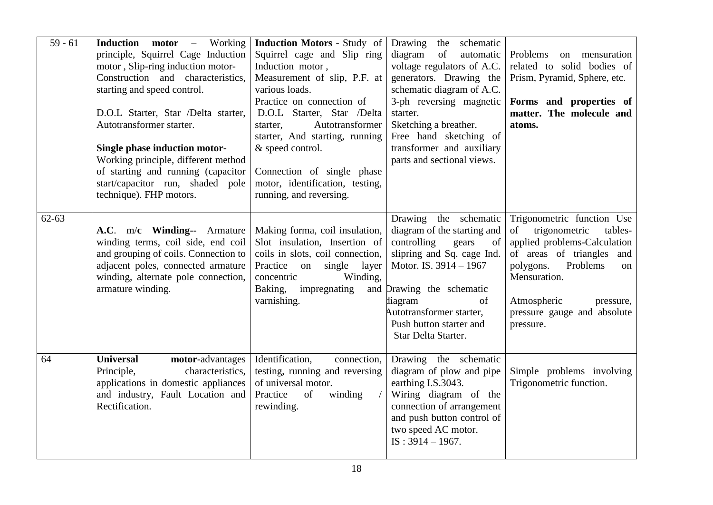| $59 - 61$ | <b>Induction motor - Working</b><br>principle, Squirrel Cage Induction<br>motor, Slip-ring induction motor-<br>Construction and characteristics,<br>starting and speed control.<br>D.O.L Starter, Star /Delta starter,<br>Autotransformer starter.<br>Single phase induction motor-<br>Working principle, different method<br>of starting and running (capacitor<br>start/capacitor run, shaded pole<br>technique). FHP motors. | <b>Induction Motors - Study of</b><br>Squirrel cage and Slip ring<br>Induction motor,<br>Measurement of slip, P.F. at<br>various loads.<br>Practice on connection of<br>D.O.L Starter, Star /Delta<br>Autotransformer<br>starter,<br>starter, And starting, running<br>& speed control.<br>Connection of single phase<br>motor, identification, testing,<br>running, and reversing. | Drawing<br>the schematic<br>diagram<br>of<br>automatic<br>voltage regulators of A.C.<br>generators. Drawing the<br>schematic diagram of A.C.<br>3-ph reversing magnetic<br>starter.<br>Sketching a breather.<br>Free hand sketching of<br>transformer and auxiliary<br>parts and sectional views. | Problems<br>on mensuration<br>related to solid bodies of<br>Prism, Pyramid, Sphere, etc.<br>Forms and properties of<br>matter. The molecule and<br>atoms.                                                                                        |
|-----------|---------------------------------------------------------------------------------------------------------------------------------------------------------------------------------------------------------------------------------------------------------------------------------------------------------------------------------------------------------------------------------------------------------------------------------|-------------------------------------------------------------------------------------------------------------------------------------------------------------------------------------------------------------------------------------------------------------------------------------------------------------------------------------------------------------------------------------|---------------------------------------------------------------------------------------------------------------------------------------------------------------------------------------------------------------------------------------------------------------------------------------------------|--------------------------------------------------------------------------------------------------------------------------------------------------------------------------------------------------------------------------------------------------|
| $62 - 63$ | A.C. m/c Winding-- Armature<br>winding terms, coil side, end coil<br>and grouping of coils. Connection to<br>adjacent poles, connected armature<br>winding, alternate pole connection,<br>armature winding.                                                                                                                                                                                                                     | Making forma, coil insulation,<br>Slot insulation, Insertion of<br>coils in slots, coil connection,<br>Practice<br>on<br>single layer<br>concentric<br>Winding,<br>Baking, impregnating<br>varnishing.                                                                                                                                                                              | Drawing the schematic<br>diagram of the starting and<br>controlling<br>gears<br>of<br>slipring and Sq. cage Ind.<br>Motor. IS. 3914 - 1967<br>and Drawing the schematic<br>diagram<br>of<br>Autotransformer starter,<br>Push button starter and<br>Star Delta Starter.                            | Trigonometric function Use<br>of<br>trigonometric<br>tables-<br>applied problems-Calculation<br>of areas of triangles and<br>Problems<br>polygons.<br>on<br>Mensuration.<br>Atmospheric<br>pressure,<br>pressure gauge and absolute<br>pressure. |
| 64        | <b>Universal</b><br>motor-advantages<br>Principle,<br>characteristics,<br>applications in domestic appliances<br>and industry, Fault Location and<br>Rectification.                                                                                                                                                                                                                                                             | Identification,<br>connection,<br>testing, running and reversing<br>of universal motor.<br>Practice<br><sub>of</sub><br>winding<br>rewinding.                                                                                                                                                                                                                                       | Drawing the schematic<br>diagram of plow and pipe<br>earthing I.S.3043.<br>Wiring diagram of the<br>connection of arrangement<br>and push button control of<br>two speed AC motor.<br>$IS: 3914 - 1967.$                                                                                          | Simple problems involving<br>Trigonometric function.                                                                                                                                                                                             |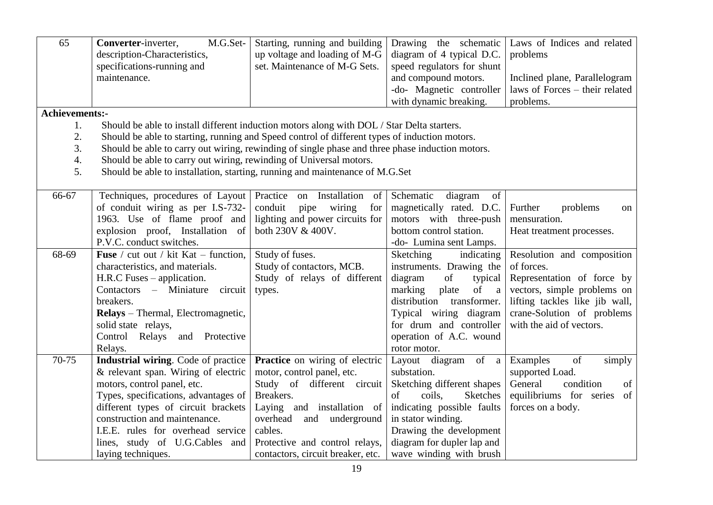| 65                 | M.G.Set-<br>Converter-inverter,<br>description-Characteristics,<br>specifications-running and<br>maintenance. | Starting, running and building<br>up voltage and loading of M-G<br>set. Maintenance of M-G Sets. | Drawing the schematic<br>diagram of 4 typical D.C.<br>speed regulators for shunt<br>and compound motors.<br>-do- Magnetic controller<br>with dynamic breaking. | Laws of Indices and related<br>problems<br>Inclined plane, Parallelogram<br>laws of Forces – their related<br>problems. |
|--------------------|---------------------------------------------------------------------------------------------------------------|--------------------------------------------------------------------------------------------------|----------------------------------------------------------------------------------------------------------------------------------------------------------------|-------------------------------------------------------------------------------------------------------------------------|
| Achievements:-     |                                                                                                               |                                                                                                  |                                                                                                                                                                |                                                                                                                         |
| 1.                 | Should be able to install different induction motors along with DOL / Star Delta starters.                    |                                                                                                  |                                                                                                                                                                |                                                                                                                         |
| 2.                 | Should be able to starting, running and Speed control of different types of induction motors.                 |                                                                                                  |                                                                                                                                                                |                                                                                                                         |
| 3.                 | Should be able to carry out wiring, rewinding of single phase and three phase induction motors.               |                                                                                                  |                                                                                                                                                                |                                                                                                                         |
| $\boldsymbol{4}$ . | Should be able to carry out wiring, rewinding of Universal motors.                                            |                                                                                                  |                                                                                                                                                                |                                                                                                                         |
| 5.                 | Should be able to installation, starting, running and maintenance of M.G.Set                                  |                                                                                                  |                                                                                                                                                                |                                                                                                                         |
| 66-67              |                                                                                                               | Practice<br>on Installation                                                                      | Schematic                                                                                                                                                      |                                                                                                                         |
|                    | Techniques, procedures of Layout<br>of conduit wiring as per I.S-732-                                         | of<br>conduit<br>wiring<br>pipe<br>for                                                           | diagram<br>of<br>magnetically rated. D.C.                                                                                                                      | Further<br>problems                                                                                                     |
|                    | 1963. Use of flame proof and                                                                                  | lighting and power circuits for                                                                  | motors with three-push                                                                                                                                         | on<br>mensuration.                                                                                                      |
|                    | explosion proof, Installation of                                                                              | both 230V & 400V.                                                                                | bottom control station.                                                                                                                                        | Heat treatment processes.                                                                                               |
|                    | P.V.C. conduct switches.                                                                                      |                                                                                                  | -do- Lumina sent Lamps.                                                                                                                                        |                                                                                                                         |
| 68-69              | <b>Fuse</b> / cut out / kit Kat – function,                                                                   | Study of fuses.                                                                                  | <b>Sketching</b><br>indicating                                                                                                                                 | Resolution and composition                                                                                              |
|                    | characteristics, and materials.                                                                               | Study of contactors, MCB.                                                                        | instruments. Drawing the                                                                                                                                       | of forces.                                                                                                              |
|                    | $H.R.C$ Fuses – application.                                                                                  | Study of relays of different                                                                     | diagram<br>of<br>typical                                                                                                                                       | Representation of force by                                                                                              |
|                    | Contactors – Miniature<br>circuit                                                                             | types.                                                                                           | marking<br>plate<br>of<br>$\mathbf{a}$                                                                                                                         | vectors, simple problems on                                                                                             |
|                    | breakers.                                                                                                     |                                                                                                  | distribution transformer.                                                                                                                                      | lifting tackles like jib wall,                                                                                          |
|                    | Relays - Thermal, Electromagnetic,                                                                            |                                                                                                  | Typical wiring diagram                                                                                                                                         | crane-Solution of problems                                                                                              |
|                    | solid state relays,                                                                                           |                                                                                                  | for drum and controller                                                                                                                                        | with the aid of vectors.                                                                                                |
|                    | Control Relays<br>and Protective                                                                              |                                                                                                  | operation of A.C. wound                                                                                                                                        |                                                                                                                         |
|                    | Relays.                                                                                                       |                                                                                                  | rotor motor.                                                                                                                                                   |                                                                                                                         |
| 70-75              | Industrial wiring. Code of practice                                                                           | <b>Practice</b> on wiring of electric                                                            | Layout diagram of a                                                                                                                                            | Examples<br>of<br>simply                                                                                                |
|                    | & relevant span. Wiring of electric                                                                           | motor, control panel, etc.                                                                       | substation.                                                                                                                                                    | supported Load.                                                                                                         |
|                    | motors, control panel, etc.                                                                                   | Study of different circuit                                                                       | Sketching different shapes                                                                                                                                     | General<br>condition<br>of                                                                                              |
|                    | Types, specifications, advantages of                                                                          | Breakers.                                                                                        | coils.<br><b>Sketches</b><br>of                                                                                                                                | equilibriums for series<br>of                                                                                           |
|                    | different types of circuit brackets                                                                           | Laying and installation of                                                                       | indicating possible faults                                                                                                                                     | forces on a body.                                                                                                       |
|                    | construction and maintenance.                                                                                 | overhead<br>and underground                                                                      | in stator winding.                                                                                                                                             |                                                                                                                         |
|                    | I.E.E. rules for overhead service                                                                             | cables.                                                                                          | Drawing the development                                                                                                                                        |                                                                                                                         |
|                    | lines, study of U.G.Cables and                                                                                | Protective and control relays,                                                                   | diagram for dupler lap and                                                                                                                                     |                                                                                                                         |
|                    | laying techniques.                                                                                            | contactors, circuit breaker, etc.                                                                | wave winding with brush                                                                                                                                        |                                                                                                                         |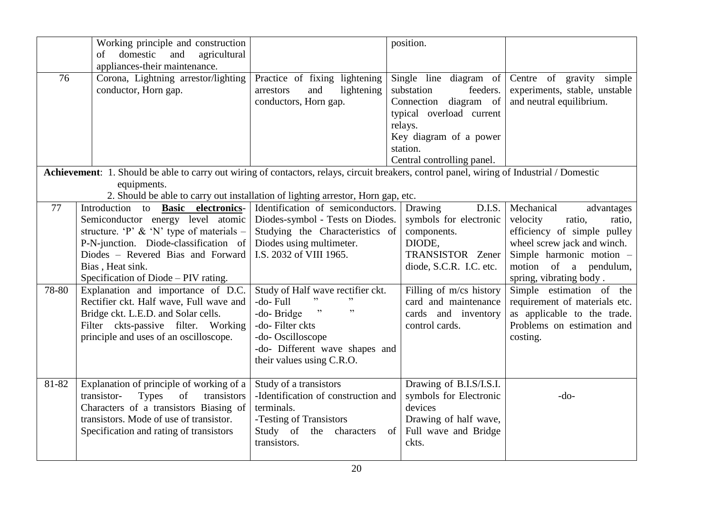|             | Working principle and construction<br>domestic<br>and<br>agricultural<br>of<br>appliances-their maintenance.                                                                                                                                                                                                                                                                                                                                                                   |                                                                                                                                                                                                                                                                                                                                                        | position.                                                                                                                                                                                                       |                                                                                                                                                                                                                                                                                                                                              |
|-------------|--------------------------------------------------------------------------------------------------------------------------------------------------------------------------------------------------------------------------------------------------------------------------------------------------------------------------------------------------------------------------------------------------------------------------------------------------------------------------------|--------------------------------------------------------------------------------------------------------------------------------------------------------------------------------------------------------------------------------------------------------------------------------------------------------------------------------------------------------|-----------------------------------------------------------------------------------------------------------------------------------------------------------------------------------------------------------------|----------------------------------------------------------------------------------------------------------------------------------------------------------------------------------------------------------------------------------------------------------------------------------------------------------------------------------------------|
| 76          | Corona, Lightning arrestor/lighting<br>conductor, Horn gap.                                                                                                                                                                                                                                                                                                                                                                                                                    | Practice of fixing lightening<br>and<br>lightening<br>arrestors<br>conductors, Horn gap.                                                                                                                                                                                                                                                               | Single line diagram of<br>substation<br>feeders.<br>Connection diagram of<br>typical overload current<br>relays.<br>Key diagram of a power<br>station.<br>Central controlling panel.                            | Centre of gravity simple<br>experiments, stable, unstable<br>and neutral equilibrium.                                                                                                                                                                                                                                                        |
|             | Achievement: 1. Should be able to carry out wiring of contactors, relays, circuit breakers, control panel, wiring of Industrial / Domestic                                                                                                                                                                                                                                                                                                                                     |                                                                                                                                                                                                                                                                                                                                                        |                                                                                                                                                                                                                 |                                                                                                                                                                                                                                                                                                                                              |
|             | equipments.                                                                                                                                                                                                                                                                                                                                                                                                                                                                    | 2. Should be able to carry out installation of lighting arrestor, Horn gap, etc.                                                                                                                                                                                                                                                                       |                                                                                                                                                                                                                 |                                                                                                                                                                                                                                                                                                                                              |
| 77<br>78-80 | Introduction to <b>Basic electronics</b> -<br>Semiconductor energy level atomic<br>structure. 'P' & 'N' type of materials –<br>P-N-junction. Diode-classification of<br>Diodes - Revered Bias and Forward<br>Bias, Heat sink.<br>Specification of Diode - PIV rating.<br>Explanation and importance of D.C.<br>Rectifier ckt. Half wave, Full wave and<br>Bridge ckt. L.E.D. and Solar cells.<br>Filter ckts-passive filter. Working<br>principle and uses of an oscilloscope. | Identification of semiconductors.<br>Diodes-symbol - Tests on Diodes.<br>Studying the Characteristics of<br>Diodes using multimeter.<br>I.S. 2032 of VIII 1965.<br>Study of Half wave rectifier ckt.<br>, ,<br>-do-Full<br>$, \,$<br>-do-Bridge<br>-do-Filter ckts<br>-do- Oscilloscope<br>-do- Different wave shapes and<br>their values using C.R.O. | D.I.S.<br>Drawing<br>symbols for electronic<br>components.<br>DIODE,<br>TRANSISTOR Zener<br>diode, S.C.R. I.C. etc.<br>Filling of m/cs history<br>card and maintenance<br>cards and inventory<br>control cards. | Mechanical<br>advantages<br>velocity<br>ratio,<br>ratio,<br>efficiency of simple pulley<br>wheel screw jack and winch.<br>Simple harmonic motion -<br>motion of a pendulum,<br>spring, vibrating body.<br>Simple estimation of the<br>requirement of materials etc.<br>as applicable to the trade.<br>Problems on estimation and<br>costing. |
| 81-82       | Explanation of principle of working of a<br><b>Types</b><br>of<br>transistor-<br>transistors<br>Characters of a transistors Biasing of<br>transistors. Mode of use of transistor.<br>Specification and rating of transistors                                                                                                                                                                                                                                                   | Study of a transistors<br>-Identification of construction and<br>terminals.<br>-Testing of Transistors<br>Study of<br>the characters<br>of  <br>transistors.                                                                                                                                                                                           | Drawing of B.I.S/I.S.I.<br>symbols for Electronic<br>devices<br>Drawing of half wave,<br>Full wave and Bridge<br>ckts.                                                                                          | $-do-$                                                                                                                                                                                                                                                                                                                                       |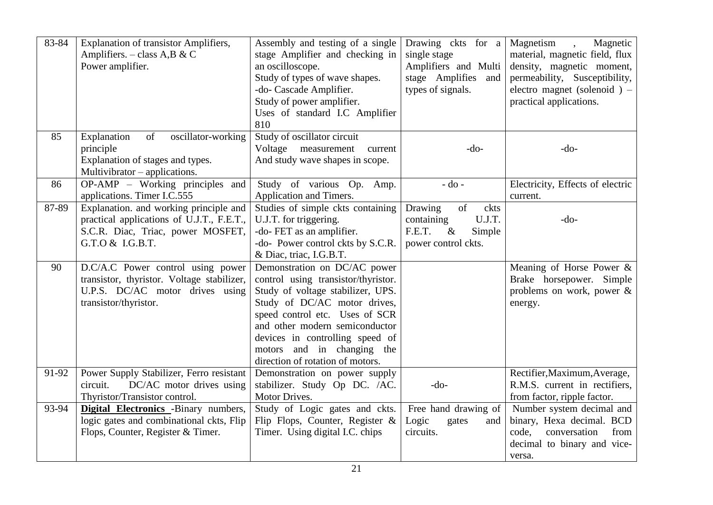| 83-84 | <b>Explanation of transistor Amplifiers,</b><br>Amplifiers. $-$ class A,B & C<br>Power amplifier.                                            | Assembly and testing of a single<br>stage Amplifier and checking in<br>an oscilloscope.<br>Study of types of wave shapes.<br>-do- Cascade Amplifier.<br>Study of power amplifier.<br>Uses of standard I.C Amplifier<br>810                                                                                        | Drawing ckts for a<br>single stage<br>Amplifiers and Multi<br>stage Amplifies and<br>types of signals. | Magnetism<br>Magnetic<br>$\ddot{\phantom{1}}$<br>material, magnetic field, flux<br>density, magnetic moment,<br>permeability, Susceptibility,<br>electro magnet (solenoid) $-$<br>practical applications. |
|-------|----------------------------------------------------------------------------------------------------------------------------------------------|-------------------------------------------------------------------------------------------------------------------------------------------------------------------------------------------------------------------------------------------------------------------------------------------------------------------|--------------------------------------------------------------------------------------------------------|-----------------------------------------------------------------------------------------------------------------------------------------------------------------------------------------------------------|
| 85    | Explanation<br>of<br>oscillator-working<br>principle<br>Explanation of stages and types.<br>Multivibrator – applications.                    | Study of oscillator circuit<br>Voltage measurement<br>current<br>And study wave shapes in scope.                                                                                                                                                                                                                  | $-do-$                                                                                                 | $-do-$                                                                                                                                                                                                    |
| 86    | OP-AMP – Working principles and<br>applications. Timer I.C.555                                                                               | Study of various Op. Amp.<br>Application and Timers.                                                                                                                                                                                                                                                              | $-do$ -                                                                                                | Electricity, Effects of electric<br>current.                                                                                                                                                              |
| 87-89 | Explanation. and working principle and<br>practical applications of U.J.T., F.E.T.,<br>S.C.R. Diac, Triac, power MOSFET,<br>G.T.O & I.G.B.T. | Studies of simple ckts containing<br>U.J.T. for triggering.<br>-do- FET as an amplifier.<br>-do- Power control ckts by S.C.R.<br>& Diac, triac, I.G.B.T.                                                                                                                                                          | Drawing<br>of<br>ckts<br>U.J.T.<br>containing<br>F.E.T.<br>$\&$<br>Simple<br>power control ckts.       | $-do-$                                                                                                                                                                                                    |
| 90    | D.C/A.C Power control using power<br>transistor, thyristor. Voltage stabilizer,<br>U.P.S. DC/AC motor drives using<br>transistor/thyristor.  | Demonstration on DC/AC power<br>control using transistor/thyristor.<br>Study of voltage stabilizer, UPS.<br>Study of DC/AC motor drives,<br>speed control etc. Uses of SCR<br>and other modern semiconductor<br>devices in controlling speed of<br>motors and in changing the<br>direction of rotation of motors. |                                                                                                        | Meaning of Horse Power $\&$<br>Brake horsepower. Simple<br>problems on work, power $\&$<br>energy.                                                                                                        |
| 91-92 | Power Supply Stabilizer, Ferro resistant<br>DC/AC motor drives using<br>circuit.<br>Thyristor/Transistor control.                            | Demonstration on power supply<br>stabilizer. Study Op DC. /AC.<br>Motor Drives.                                                                                                                                                                                                                                   | $-do-$                                                                                                 | Rectifier, Maximum, Average,<br>R.M.S. current in rectifiers,<br>from factor, ripple factor.                                                                                                              |
| 93-94 | <b>Digital Electronics</b> -Binary numbers,<br>logic gates and combinational ckts, Flip<br>Flops, Counter, Register & Timer.                 | Study of Logic gates and ckts.<br>Flip Flops, Counter, Register $\&$<br>Timer. Using digital I.C. chips                                                                                                                                                                                                           | Free hand drawing of<br>Logic<br>gates<br>and<br>circuits.                                             | Number system decimal and<br>binary, Hexa decimal. BCD<br>conversation<br>code,<br>from<br>decimal to binary and vice-<br>versa.                                                                          |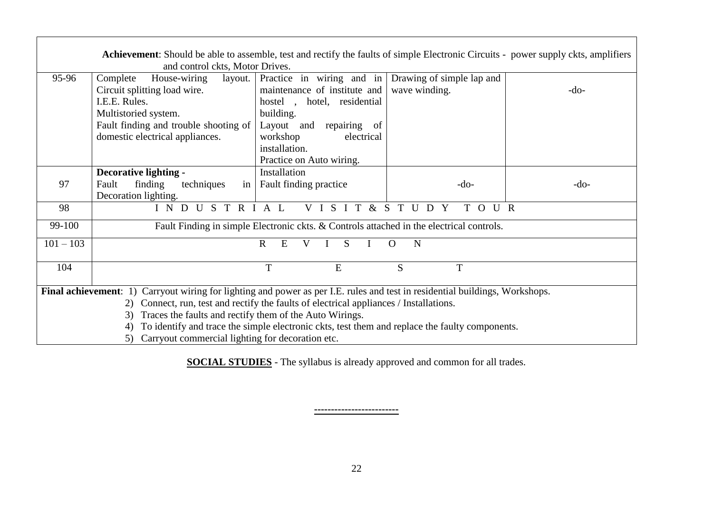|             | <b>Achievement:</b> Should be able to assemble, test and rectify the faults of simple Electronic Circuits - power supply ckts, amplifiers<br>and control ckts, Motor Drives.  |                                                                                                                                                                                                                                                  |                        |        |
|-------------|-------------------------------------------------------------------------------------------------------------------------------------------------------------------------------|--------------------------------------------------------------------------------------------------------------------------------------------------------------------------------------------------------------------------------------------------|------------------------|--------|
| 95-96       | Complete<br>House-wiring<br>Circuit splitting load wire.<br>I.E.E. Rules.<br>Multistoried system.<br>Fault finding and trouble shooting of<br>domestic electrical appliances. | layout. Practice in wiring and in Drawing of simple lap and<br>maintenance of institute and<br>hotel, residential<br>hostel,<br>building.<br>Layout and repairing<br>- of<br>workshop<br>electrical<br>installation.<br>Practice on Auto wiring. | wave winding.          | $-do-$ |
| 97          | Decorative lighting -<br>finding<br>techniques<br>Fault<br>Decoration lighting.                                                                                               | Installation<br>in   Fault finding practice                                                                                                                                                                                                      | $-do-$                 | $-do-$ |
| 98          | INDUSTRIAL                                                                                                                                                                    | V I S I T                                                                                                                                                                                                                                        | & S T U D Y<br>T O U R |        |
| 99-100      |                                                                                                                                                                               | Fault Finding in simple Electronic ckts. & Controls attached in the electrical controls.                                                                                                                                                         |                        |        |
| $101 - 103$ |                                                                                                                                                                               | $\mathbf R$<br>E<br>S<br>V<br>L                                                                                                                                                                                                                  | $\Omega$<br>N          |        |
| 104         |                                                                                                                                                                               | T<br>E                                                                                                                                                                                                                                           | S<br>T                 |        |
|             | Final achievement: 1) Carryout wiring for lighting and power as per I.E. rules and test in residential buildings, Workshops.                                                  |                                                                                                                                                                                                                                                  |                        |        |
|             | 2) Connect, run, test and rectify the faults of electrical appliances / Installations.                                                                                        |                                                                                                                                                                                                                                                  |                        |        |
|             | Traces the faults and rectify them of the Auto Wirings.<br>3)                                                                                                                 |                                                                                                                                                                                                                                                  |                        |        |
|             | 4)                                                                                                                                                                            | To identify and trace the simple electronic ckts, test them and replace the faulty components.                                                                                                                                                   |                        |        |
|             | 5) Carryout commercial lighting for decoration etc.                                                                                                                           |                                                                                                                                                                                                                                                  |                        |        |

**SOCIAL STUDIES** - The syllabus is already approved and common for all trades.

**-------------------------**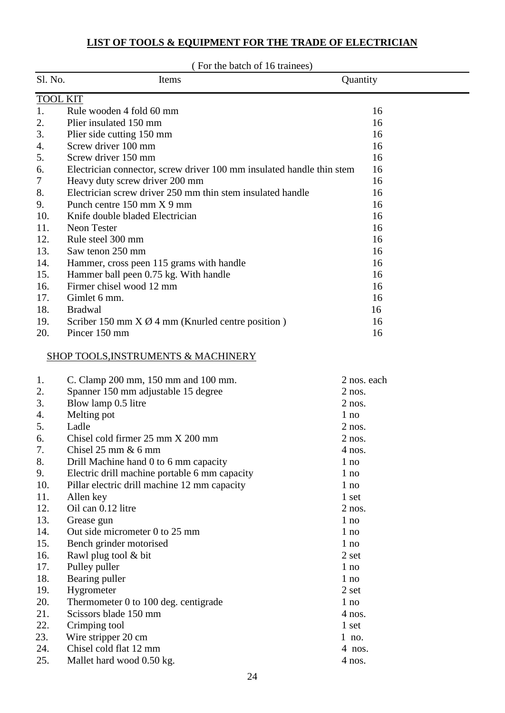#### **LIST OF TOOLS & EQUIPMENT FOR THE TRADE OF ELECTRICIAN**

|                 | (For the batch of 16 trainees)                                        |             |
|-----------------|-----------------------------------------------------------------------|-------------|
| Sl. No.         | Items                                                                 | Quantity    |
| <b>TOOL KIT</b> |                                                                       |             |
| 1.              | Rule wooden 4 fold 60 mm                                              | 16          |
| 2.              | Plier insulated 150 mm                                                | 16          |
| 3.              | Plier side cutting 150 mm                                             | 16          |
| 4.              | Screw driver 100 mm                                                   | 16          |
| 5.              | Screw driver 150 mm                                                   | 16          |
| 6.              | Electrician connector, screw driver 100 mm insulated handle thin stem | 16          |
| 7               | Heavy duty screw driver 200 mm                                        | 16          |
| 8.              | Electrician screw driver 250 mm thin stem insulated handle            | 16          |
| 9.              | Punch centre 150 mm X 9 mm                                            | 16          |
| 10.             | Knife double bladed Electrician                                       | 16          |
| 11.             | Neon Tester                                                           | 16          |
| 12.             | Rule steel 300 mm                                                     | 16          |
| 13.             | Saw tenon 250 mm                                                      | 16          |
| 14.             | Hammer, cross peen 115 grams with handle                              | 16          |
| 15.             | Hammer ball peen 0.75 kg. With handle                                 | 16          |
| 16.             | Firmer chisel wood 12 mm                                              | 16          |
| 17.             | Gimlet 6 mm.                                                          | 16          |
| 18.             | <b>Bradwal</b>                                                        | 16          |
| 19.             | Scriber 150 mm $X \varnothing$ 4 mm (Knurled centre position)         | 16          |
| 20.             | Pincer 150 mm                                                         | 16          |
|                 | <b>SHOP TOOLS, INSTRUMENTS &amp; MACHINERY</b>                        |             |
| 1.              | C. Clamp 200 mm, 150 mm and 100 mm.                                   | 2 nos. each |
| 2.              | Spanner 150 mm adjustable 15 degree                                   | $2$ nos.    |
| 3.              | Blow lamp 0.5 litre                                                   | $2$ nos.    |
| 4.              | Melting pot                                                           | 1 no        |
| 5.              | Ladle                                                                 | $2$ nos.    |
| 6.              | Chisel cold firmer 25 mm X 200 mm                                     | $2$ nos.    |
| 7.              | Chisel $25 \text{ mm} \& 6 \text{ mm}$                                | $4$ nos.    |
| 8.              | Drill Machine hand 0 to 6 mm capacity                                 | 1 no        |
| 9.              | Electric drill machine portable 6 mm capacity                         | $1$ no      |
| 10.             | Pillar electric drill machine 12 mm capacity                          | $1$ no      |
| 11.             | Allen key                                                             | 1 set       |
| 12.             | Oil can 0.12 litre                                                    | $2$ nos.    |
| 13.             | Grease gun                                                            | $1$ no      |
| 14.             | Out side micrometer 0 to 25 mm                                        | $1$ no      |
| 15.             | Bench grinder motorised                                               | 1 no        |
| 16.             | Rawl plug tool & bit                                                  | 2 set       |
| 17.             | Pulley puller                                                         | $1$ no      |
| 18.             | Bearing puller                                                        | $1$ no      |
| 19.             | Hygrometer                                                            | 2 set       |
| 20.             | Thermometer 0 to 100 deg. centigrade                                  | $1$ no      |
| 21.             | Scissors blade 150 mm                                                 | 4 nos.      |
| 22.             | Crimping tool                                                         | 1 set       |
| 23.             | Wire stripper 20 cm                                                   | $1$ no.     |
| 24.             | Chisel cold flat 12 mm                                                | $4$ nos.    |
| 25.             | Mallet hard wood 0.50 kg.                                             | $4$ nos.    |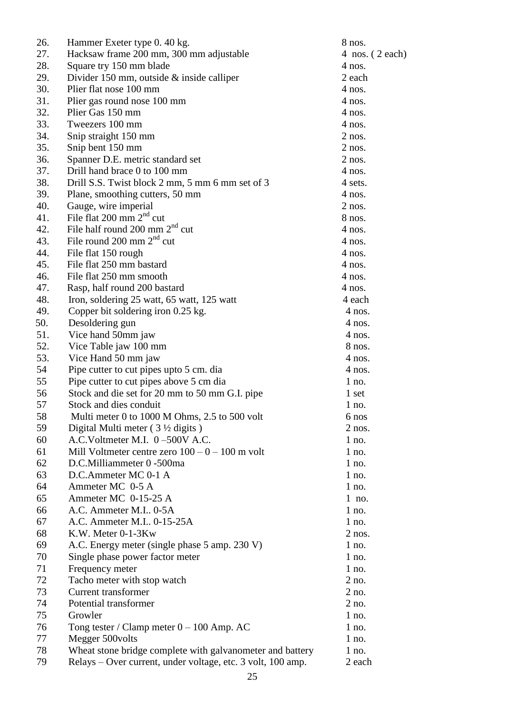| 26. | Hammer Exeter type 0. 40 kg.                                | 8 nos.            |
|-----|-------------------------------------------------------------|-------------------|
| 27. | Hacksaw frame 200 mm, 300 mm adjustable                     | 4 nos. $(2 each)$ |
| 28. | Square try 150 mm blade                                     | $4$ nos.          |
| 29. | Divider 150 mm, outside & inside calliper                   | 2 each            |
| 30. | Plier flat nose 100 mm                                      | $4$ nos.          |
| 31. | Plier gas round nose 100 mm                                 | $4$ nos.          |
| 32. | Plier Gas 150 mm                                            | $4$ nos.          |
| 33. | Tweezers 100 mm                                             | $4$ nos.          |
| 34. | Snip straight 150 mm                                        | $2$ nos.          |
| 35. | Snip bent 150 mm                                            | $2$ nos.          |
| 36. | Spanner D.E. metric standard set                            | $2$ nos.          |
| 37. | Drill hand brace 0 to 100 mm                                | 4 nos.            |
| 38. | Drill S.S. Twist block 2 mm, 5 mm 6 mm set of 3             | 4 sets.           |
| 39. | Plane, smoothing cutters, 50 mm                             | $4$ nos.          |
| 40. | Gauge, wire imperial                                        | $2$ nos.          |
| 41. | File flat $200 \text{ mm } 2^{\text{nd}}$ cut               | 8 nos.            |
| 42. | File half round 200 mm $2nd$ cut                            | 4 nos.            |
| 43. | File round 200 mm $2nd$ cut                                 | $4$ nos.          |
| 44. | File flat 150 rough                                         | $4$ nos.          |
| 45. | File flat 250 mm bastard                                    | 4 nos.            |
| 46. | File flat 250 mm smooth                                     | $4$ nos.          |
| 47. | Rasp, half round 200 bastard                                | $4$ nos.          |
| 48. | Iron, soldering 25 watt, 65 watt, 125 watt                  | 4 each            |
| 49. | Copper bit soldering iron 0.25 kg.                          | $4$ nos.          |
| 50. | Desoldering gun                                             | $4$ nos.          |
| 51. | Vice hand 50mm jaw                                          | $4$ nos.          |
| 52. | Vice Table jaw 100 mm                                       | 8 nos.            |
| 53. | Vice Hand 50 mm jaw                                         | $4$ nos.          |
| 54  | Pipe cutter to cut pipes upto 5 cm. dia                     | $4$ nos.          |
| 55  | Pipe cutter to cut pipes above 5 cm dia                     | $1$ no.           |
| 56  | Stock and die set for 20 mm to 50 mm G.I. pipe              | 1 set             |
| 57  | Stock and dies conduit                                      | $1$ no.           |
| 58  | Multi meter 0 to 1000 M Ohms, 2.5 to 500 volt               | 6 nos             |
| 59  | Digital Multi meter $(3 \frac{1}{2}$ digits)                | $2$ nos.          |
| 60  | A.C.Voltmeter M.I. 0-500V A.C.                              | $1$ no.           |
| 61  | Mill Voltmeter centre zero $100 - 0 - 100$ m volt           | $1$ no.           |
| 62  | D.C.Milliammeter 0 -500ma                                   | $1$ no.           |
| 63  | D.C.Ammeter MC 0-1 A                                        | $1$ no.           |
| 64  | Ammeter MC 0-5 A                                            | $1$ no.           |
| 65  | Ammeter MC 0-15-25 A                                        | $1$ no.           |
| 66  | A.C. Ammeter M.I., 0-5A                                     | $1$ no.           |
| 67  | A.C. Ammeter M.I., 0-15-25A                                 | $1$ no.           |
| 68  | K.W. Meter 0-1-3Kw                                          | $2$ nos.          |
| 69  | A.C. Energy meter (single phase 5 amp. 230 V)               | $1$ no.           |
| 70  | Single phase power factor meter                             | $1$ no.           |
| 71  | Frequency meter                                             | $1$ no.           |
| 72  | Tacho meter with stop watch                                 | 2 no.             |
| 73  | <b>Current transformer</b>                                  | 2 no.             |
| 74  | Potential transformer                                       | $2$ no.           |
| 75  | Growler                                                     | $1$ no.           |
| 76  | Tong tester / Clamp meter $0 - 100$ Amp. AC                 | $1$ no.           |
| 77  | Megger 500 volts                                            | $1$ no.           |
| 78  | Wheat stone bridge complete with galvanometer and battery   | $1$ no.           |
| 79  | Relays - Over current, under voltage, etc. 3 volt, 100 amp. | 2 each            |
|     |                                                             |                   |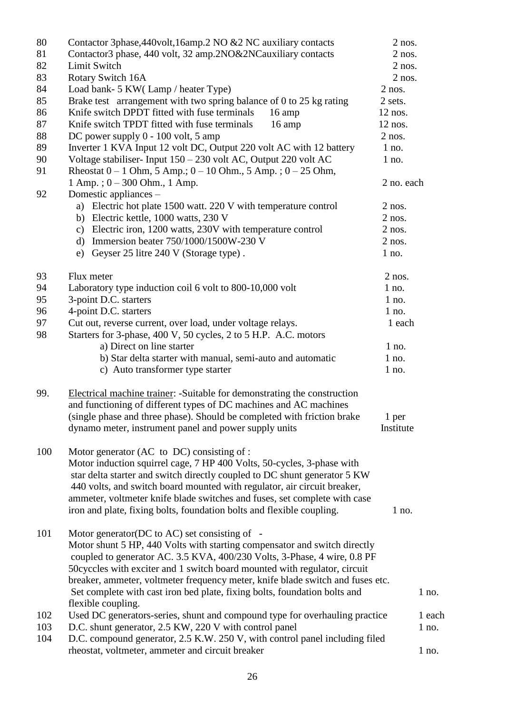| 80<br>81<br>82<br>83 | Contactor 3phase, 440volt, 16amp. 2 NO & 2 NC auxiliary contacts<br>Contactor3 phase, 440 volt, 32 amp.2NO&2NCauxiliary contacts<br>Limit Switch<br>Rotary Switch 16A                                                                                                                                                                                                                                                                               | $2$ nos.<br>$2$ nos.<br>$2$ nos.<br>$2$ nos. |         |
|----------------------|-----------------------------------------------------------------------------------------------------------------------------------------------------------------------------------------------------------------------------------------------------------------------------------------------------------------------------------------------------------------------------------------------------------------------------------------------------|----------------------------------------------|---------|
| 84                   | Load bank- 5 KW(Lamp/heater Type)                                                                                                                                                                                                                                                                                                                                                                                                                   | $2$ nos.                                     |         |
| 85                   | Brake test arrangement with two spring balance of 0 to 25 kg rating                                                                                                                                                                                                                                                                                                                                                                                 | 2 sets.                                      |         |
|                      |                                                                                                                                                                                                                                                                                                                                                                                                                                                     |                                              |         |
| 86                   | Knife switch DPDT fitted with fuse terminals<br>16 amp                                                                                                                                                                                                                                                                                                                                                                                              | $12$ nos.                                    |         |
| 87                   | Knife switch TPDT fitted with fuse terminals<br>16 amp                                                                                                                                                                                                                                                                                                                                                                                              | $12$ nos.                                    |         |
| 88                   | DC power supply $0 - 100$ volt, 5 amp                                                                                                                                                                                                                                                                                                                                                                                                               | $2$ nos.                                     |         |
| 89                   | Inverter 1 KVA Input 12 volt DC, Output 220 volt AC with 12 battery                                                                                                                                                                                                                                                                                                                                                                                 | $1$ no.                                      |         |
| 90                   | Voltage stabiliser- Input 150 - 230 volt AC, Output 220 volt AC                                                                                                                                                                                                                                                                                                                                                                                     | $1$ no.                                      |         |
| 91                   | Rheostat $0 - 1$ Ohm, 5 Amp.; $0 - 10$ Ohm., 5 Amp.; $0 - 25$ Ohm,<br>$1$ Amp.; $0 - 300$ Ohm., $1$ Amp.                                                                                                                                                                                                                                                                                                                                            | 2 no. each                                   |         |
| 92                   | Domestic appliances –<br>a) Electric hot plate 1500 watt. 220 V with temperature control                                                                                                                                                                                                                                                                                                                                                            | $2$ nos.                                     |         |
|                      | b) Electric kettle, 1000 watts, 230 V                                                                                                                                                                                                                                                                                                                                                                                                               | $2$ nos.                                     |         |
|                      | c) Electric iron, 1200 watts, 230V with temperature control                                                                                                                                                                                                                                                                                                                                                                                         | $2$ nos.                                     |         |
|                      | d) Immersion beater 750/1000/1500W-230 V                                                                                                                                                                                                                                                                                                                                                                                                            | $2$ nos.                                     |         |
|                      | e) Geyser 25 litre 240 V (Storage type).                                                                                                                                                                                                                                                                                                                                                                                                            | $1$ no.                                      |         |
|                      |                                                                                                                                                                                                                                                                                                                                                                                                                                                     |                                              |         |
| 93                   | Flux meter                                                                                                                                                                                                                                                                                                                                                                                                                                          | $2$ nos.                                     |         |
| 94                   | Laboratory type induction coil 6 volt to 800-10,000 volt                                                                                                                                                                                                                                                                                                                                                                                            | $1$ no.                                      |         |
| 95                   | 3-point D.C. starters                                                                                                                                                                                                                                                                                                                                                                                                                               | $1$ no.                                      |         |
| 96                   | 4-point D.C. starters                                                                                                                                                                                                                                                                                                                                                                                                                               | $1$ no.                                      |         |
| 97                   | Cut out, reverse current, over load, under voltage relays.                                                                                                                                                                                                                                                                                                                                                                                          | 1 each                                       |         |
| 98                   | Starters for 3-phase, 400 V, 50 cycles, 2 to 5 H.P. A.C. motors                                                                                                                                                                                                                                                                                                                                                                                     |                                              |         |
|                      | a) Direct on line starter                                                                                                                                                                                                                                                                                                                                                                                                                           | $1$ no.                                      |         |
|                      | b) Star delta starter with manual, semi-auto and automatic                                                                                                                                                                                                                                                                                                                                                                                          | $1$ no.                                      |         |
|                      | c) Auto transformer type starter                                                                                                                                                                                                                                                                                                                                                                                                                    | $1$ no.                                      |         |
| 99.                  | Electrical machine trainer: -Suitable for demonstrating the construction<br>and functioning of different types of DC machines and AC machines<br>(single phase and three phase). Should be completed with friction brake<br>dynamo meter, instrument panel and power supply units                                                                                                                                                                   | 1 per<br>Institute                           |         |
| 100                  | Motor generator (AC to DC) consisting of :<br>Motor induction squirrel cage, 7 HP 400 Volts, 50-cycles, 3-phase with<br>star delta starter and switch directly coupled to DC shunt generator 5 KW<br>440 volts, and switch board mounted with regulator, air circuit breaker,<br>ammeter, voltmeter knife blade switches and fuses, set complete with case<br>iron and plate, fixing bolts, foundation bolts and flexible coupling.                 | $1$ no.                                      |         |
| 101                  | Motor generator(DC to AC) set consisting of -<br>Motor shunt 5 HP, 440 Volts with starting compensator and switch directly<br>coupled to generator AC. 3.5 KVA, 400/230 Volts, 3-Phase, 4 wire, 0.8 PF<br>50 cyccles with exciter and 1 switch board mounted with regulator, circuit<br>breaker, ammeter, voltmeter frequency meter, knife blade switch and fuses etc.<br>Set complete with cast iron bed plate, fixing bolts, foundation bolts and |                                              | $1$ no. |
|                      | flexible coupling.                                                                                                                                                                                                                                                                                                                                                                                                                                  |                                              |         |
| 102                  | Used DC generators-series, shunt and compound type for overhauling practice                                                                                                                                                                                                                                                                                                                                                                         |                                              | 1 each  |
| 103                  | D.C. shunt generator, 2.5 KW, 220 V with control panel                                                                                                                                                                                                                                                                                                                                                                                              |                                              | $1$ no. |
| 104                  | D.C. compound generator, 2.5 K.W. 250 V, with control panel including filed<br>rheostat, voltmeter, ammeter and circuit breaker                                                                                                                                                                                                                                                                                                                     |                                              | $1$ no. |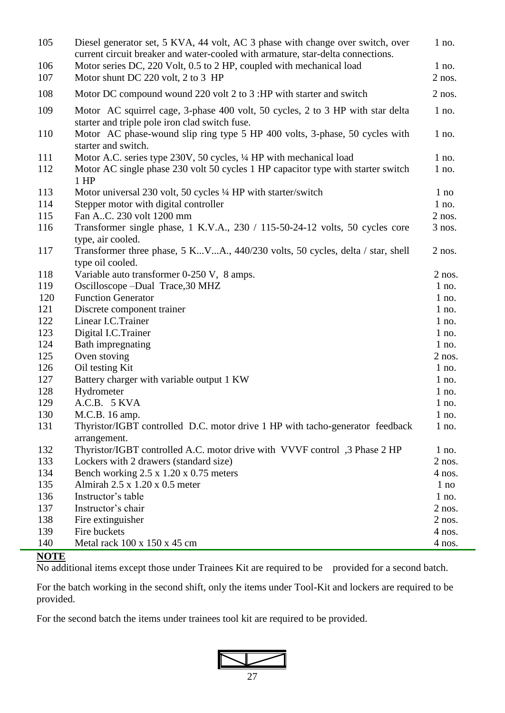| 105 | Diesel generator set, 5 KVA, 44 volt, AC 3 phase with change over switch, over<br>current circuit breaker and water-cooled with armature, star-delta connections. | $1$ no.  |
|-----|-------------------------------------------------------------------------------------------------------------------------------------------------------------------|----------|
| 106 | Motor series DC, 220 Volt, 0.5 to 2 HP, coupled with mechanical load                                                                                              | $1$ no.  |
| 107 | Motor shunt DC 220 volt, 2 to 3 HP                                                                                                                                | $2$ nos. |
| 108 | Motor DC compound wound 220 volt 2 to 3 :HP with starter and switch                                                                                               | $2$ nos. |
| 109 | Motor AC squirrel cage, 3-phase 400 volt, 50 cycles, 2 to 3 HP with star delta<br>starter and triple pole iron clad switch fuse.                                  | $1$ no.  |
| 110 | Motor AC phase-wound slip ring type 5 HP 400 volts, 3-phase, 50 cycles with<br>starter and switch.                                                                | $1$ no.  |
| 111 | Motor A.C. series type 230V, 50 cycles, 1/4 HP with mechanical load                                                                                               | $1$ no.  |
| 112 | Motor AC single phase 230 volt 50 cycles 1 HP capacitor type with starter switch<br>$1$ HP                                                                        | $1$ no.  |
| 113 | Motor universal 230 volt, 50 cycles 1/4 HP with starter/switch                                                                                                    | $1$ no   |
| 114 | Stepper motor with digital controller                                                                                                                             | $1$ no.  |
| 115 | Fan AC. 230 volt 1200 mm                                                                                                                                          | $2$ nos. |
| 116 | Transformer single phase, 1 K.V.A., 230 / 115-50-24-12 volts, 50 cycles core<br>type, air cooled.                                                                 | $3$ nos. |
| 117 | Transformer three phase, 5 KVA., 440/230 volts, 50 cycles, delta / star, shell<br>type oil cooled.                                                                | $2$ nos. |
| 118 | Variable auto transformer 0-250 V, 8 amps.                                                                                                                        | $2$ nos. |
| 119 | Oscilloscope - Dual Trace, 30 MHZ                                                                                                                                 | $1$ no.  |
| 120 | <b>Function Generator</b>                                                                                                                                         | $1$ no.  |
| 121 | Discrete component trainer                                                                                                                                        | $1$ no.  |
| 122 | Linear I.C.Trainer                                                                                                                                                | $1$ no.  |
| 123 | Digital I.C.Trainer                                                                                                                                               | $1$ no.  |
| 124 | Bath impregnating                                                                                                                                                 | $1$ no.  |
| 125 | Oven stoving                                                                                                                                                      | $2$ nos. |
| 126 | Oil testing Kit                                                                                                                                                   | $1$ no.  |
| 127 | Battery charger with variable output 1 KW                                                                                                                         | $1$ no.  |
| 128 | Hydrometer                                                                                                                                                        | $1$ no.  |
| 129 | A.C.B. 5 KVA                                                                                                                                                      | $1$ no.  |
| 130 | M.C.B. 16 amp.                                                                                                                                                    | $1$ no.  |
| 131 | Thyristor/IGBT controlled D.C. motor drive 1 HP with tacho-generator feedback<br>arrangement.                                                                     | $1$ no.  |
| 132 | Thyristor/IGBT controlled A.C. motor drive with VVVF control ,3 Phase 2 HP                                                                                        | $1$ no.  |
| 133 | Lockers with 2 drawers (standard size)                                                                                                                            | $2$ nos. |
| 134 | Bench working $2.5 \times 1.20 \times 0.75$ meters                                                                                                                | $4$ nos. |
| 135 | Almirah $2.5 \times 1.20 \times 0.5$ meter                                                                                                                        | $1$ no   |
| 136 | Instructor's table                                                                                                                                                | $1$ no.  |
| 137 | Instructor's chair                                                                                                                                                | $2$ nos. |
| 138 | Fire extinguisher                                                                                                                                                 | $2$ nos. |
| 139 | Fire buckets                                                                                                                                                      | $4$ nos. |
| 140 | Metal rack $100 \times 150 \times 45$ cm                                                                                                                          | $4$ nos. |

#### **NOTE**

No additional items except those under Trainees Kit are required to be provided for a second batch.

For the batch working in the second shift, only the items under Tool-Kit and lockers are required to be provided.

For the second batch the items under trainees tool kit are required to be provided.

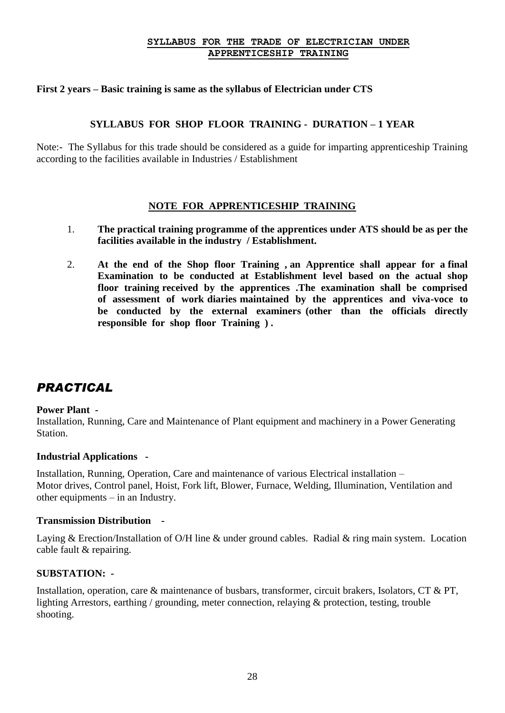#### **SYLLABUS FOR THE TRADE OF ELECTRICIAN UNDER APPRENTICESHIP TRAINING**

#### **First 2 years – Basic training is same as the syllabus of Electrician under CTS**

#### **SYLLABUS FOR SHOP FLOOR TRAINING - DURATION – 1 YEAR**

Note:- The Syllabus for this trade should be considered as a guide for imparting apprenticeship Training according to the facilities available in Industries / Establishment

#### **NOTE FOR APPRENTICESHIP TRAINING**

- 1. **The practical training programme of the apprentices under ATS should be as per the facilities available in the industry / Establishment.**
- 2. **At the end of the Shop floor Training , an Apprentice shall appear for a final Examination to be conducted at Establishment level based on the actual shop floor training received by the apprentices .The examination shall be comprised of assessment of work diaries maintained by the apprentices and viva-voce to be conducted by the external examiners (other than the officials directly responsible for shop floor Training ) .**

#### *PRACTICAL*

#### **Power Plant -**

Installation, Running, Care and Maintenance of Plant equipment and machinery in a Power Generating Station.

#### **Industrial Applications -**

Installation, Running, Operation, Care and maintenance of various Electrical installation – Motor drives, Control panel, Hoist, Fork lift, Blower, Furnace, Welding, Illumination, Ventilation and other equipments – in an Industry.

#### **Transmission Distribution -**

Laying & Erection/Installation of O/H line & under ground cables. Radial & ring main system. Location cable fault & repairing.

#### **SUBSTATION: -**

Installation, operation, care & maintenance of busbars, transformer, circuit brakers, Isolators, CT & PT, lighting Arrestors, earthing / grounding, meter connection, relaying & protection, testing, trouble shooting.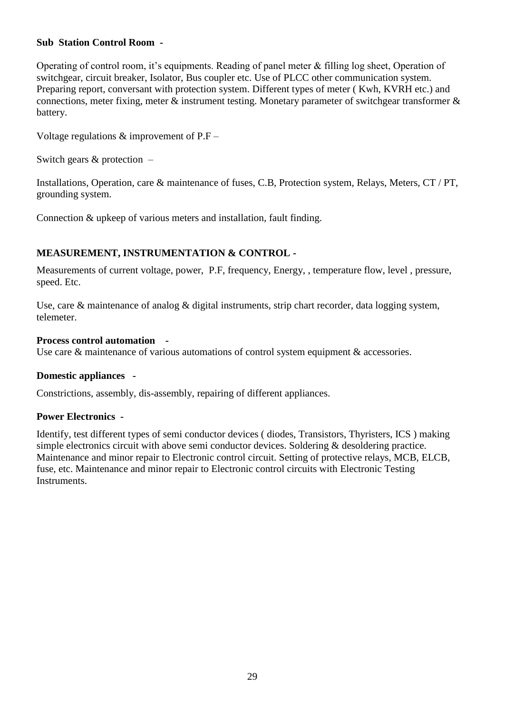#### **Sub Station Control Room -**

Operating of control room, it's equipments. Reading of panel meter & filling log sheet, Operation of switchgear, circuit breaker, Isolator, Bus coupler etc. Use of PLCC other communication system. Preparing report, conversant with protection system. Different types of meter ( Kwh, KVRH etc.) and connections, meter fixing, meter & instrument testing. Monetary parameter of switchgear transformer & battery.

Voltage regulations & improvement of P.F –

Switch gears & protection –

Installations, Operation, care & maintenance of fuses, C.B, Protection system, Relays, Meters, CT / PT, grounding system.

Connection & upkeep of various meters and installation, fault finding.

#### **MEASUREMENT, INSTRUMENTATION & CONTROL -**

Measurements of current voltage, power, P.F, frequency, Energy, , temperature flow, level , pressure, speed. Etc.

Use, care & maintenance of analog & digital instruments, strip chart recorder, data logging system, telemeter.

#### **Process control automation -**

Use care & maintenance of various automations of control system equipment & accessories.

#### **Domestic appliances -**

Constrictions, assembly, dis-assembly, repairing of different appliances.

#### **Power Electronics -**

Identify, test different types of semi conductor devices ( diodes, Transistors, Thyristers, ICS ) making simple electronics circuit with above semi conductor devices. Soldering & desoldering practice. Maintenance and minor repair to Electronic control circuit. Setting of protective relays, MCB, ELCB, fuse, etc. Maintenance and minor repair to Electronic control circuits with Electronic Testing Instruments.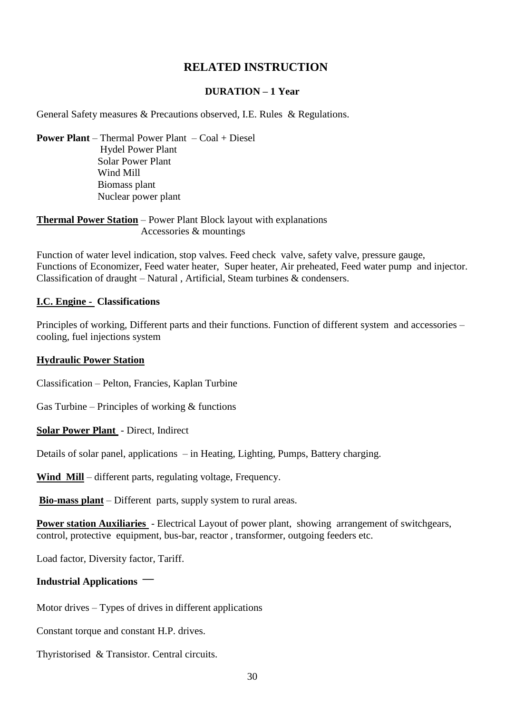#### **RELATED INSTRUCTION**

#### **DURATION – 1 Year**

General Safety measures & Precautions observed, I.E. Rules & Regulations.

**Power Plant** – Thermal Power Plant – Coal + Diesel Hydel Power Plant Solar Power Plant Wind Mill Biomass plant Nuclear power plant

**Thermal Power Station** – Power Plant Block layout with explanations Accessories & mountings

Function of water level indication, stop valves. Feed check valve, safety valve, pressure gauge, Functions of Economizer, Feed water heater, Super heater, Air preheated, Feed water pump and injector. Classification of draught – Natural, Artificial, Steam turbines  $\&$  condensers.

#### **I.C. Engine - Classifications**

Principles of working, Different parts and their functions. Function of different system and accessories – cooling, fuel injections system

#### **Hydraulic Power Station**

Classification – Pelton, Francies, Kaplan Turbine

Gas Turbine – Principles of working  $&$  functions

**Solar Power Plant** - Direct, Indirect

Details of solar panel, applications – in Heating, Lighting, Pumps, Battery charging.

Wind Mill – different parts, regulating voltage, Frequency.

**Bio-mass plant** – Different parts, supply system to rural areas.

**Power station Auxiliaries** - Electrical Layout of power plant, showing arrangement of switchgears, control, protective equipment, bus-bar, reactor , transformer, outgoing feeders etc.

Load factor, Diversity factor, Tariff.

#### **Industrial Applications** –

Motor drives – Types of drives in different applications

Constant torque and constant H.P. drives.

Thyristorised & Transistor. Central circuits.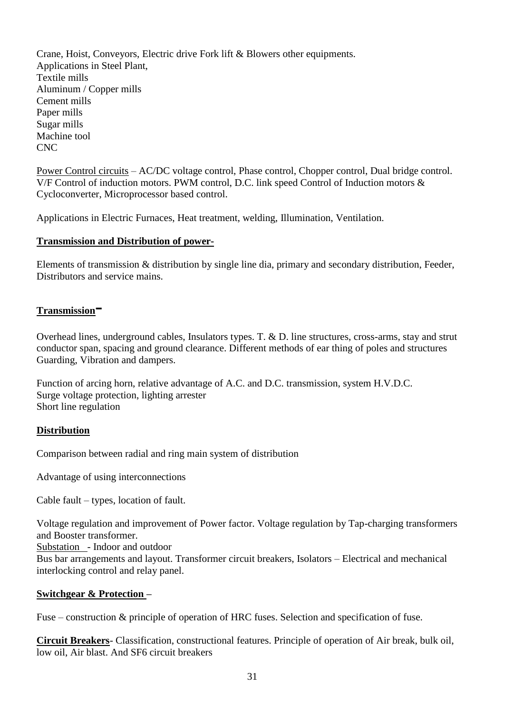Crane, Hoist, Conveyors, Electric drive Fork lift & Blowers other equipments. Applications in Steel Plant, Textile mills Aluminum / Copper mills Cement mills Paper mills Sugar mills Machine tool CNC

Power Control circuits – AC/DC voltage control, Phase control, Chopper control, Dual bridge control. V/F Control of induction motors. PWM control, D.C. link speed Control of Induction motors & Cycloconverter, Microprocessor based control.

Applications in Electric Furnaces, Heat treatment, welding, Illumination, Ventilation.

#### **Transmission and Distribution of power-**

Elements of transmission & distribution by single line dia, primary and secondary distribution, Feeder, Distributors and service mains.

#### **Transmission**-

Overhead lines, underground cables, Insulators types. T. & D. line structures, cross-arms, stay and strut conductor span, spacing and ground clearance. Different methods of ear thing of poles and structures Guarding, Vibration and dampers.

Function of arcing horn, relative advantage of A.C. and D.C. transmission, system H.V.D.C. Surge voltage protection, lighting arrester Short line regulation

#### **Distribution**

Comparison between radial and ring main system of distribution

Advantage of using interconnections

Cable fault – types, location of fault.

Voltage regulation and improvement of Power factor. Voltage regulation by Tap-charging transformers and Booster transformer.

Substation - Indoor and outdoor

Bus bar arrangements and layout. Transformer circuit breakers, Isolators – Electrical and mechanical interlocking control and relay panel.

#### **Switchgear & Protection –**

Fuse – construction & principle of operation of HRC fuses. Selection and specification of fuse.

**Circuit Breakers**- Classification, constructional features. Principle of operation of Air break, bulk oil, low oil, Air blast. And SF6 circuit breakers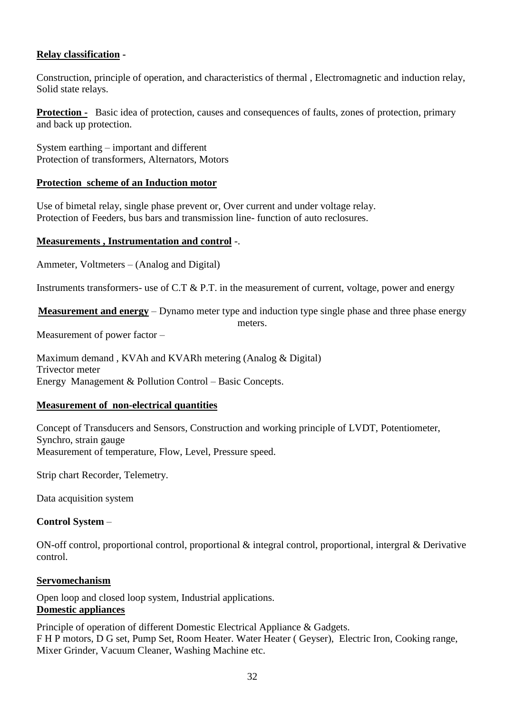#### **Relay classification -**

Construction, principle of operation, and characteristics of thermal , Electromagnetic and induction relay, Solid state relays.

**Protection -** Basic idea of protection, causes and consequences of faults, zones of protection, primary and back up protection.

System earthing – important and different Protection of transformers, Alternators, Motors

#### **Protection scheme of an Induction motor**

Use of bimetal relay, single phase prevent or, Over current and under voltage relay. Protection of Feeders, bus bars and transmission line- function of auto reclosures.

#### **Measurements , Instrumentation and control** -.

Ammeter, Voltmeters – (Analog and Digital)

Instruments transformers- use of C.T & P.T. in the measurement of current, voltage, power and energy

**Measurement and energy** – Dynamo meter type and induction type single phase and three phase energy

meters.

Measurement of power factor –

Maximum demand , KVAh and KVARh metering (Analog & Digital) Trivector meter Energy Management & Pollution Control – Basic Concepts.

#### **Measurement of non-electrical quantities**

Concept of Transducers and Sensors, Construction and working principle of LVDT, Potentiometer, Synchro, strain gauge Measurement of temperature, Flow, Level, Pressure speed.

Strip chart Recorder, Telemetry.

Data acquisition system

#### **Control System** –

ON-off control, proportional control, proportional & integral control, proportional, intergral & Derivative control.

#### **Servomechanism**

Open loop and closed loop system, Industrial applications. **Domestic appliances**

Principle of operation of different Domestic Electrical Appliance & Gadgets. F H P motors, D G set, Pump Set, Room Heater. Water Heater ( Geyser), Electric Iron, Cooking range, Mixer Grinder, Vacuum Cleaner, Washing Machine etc.